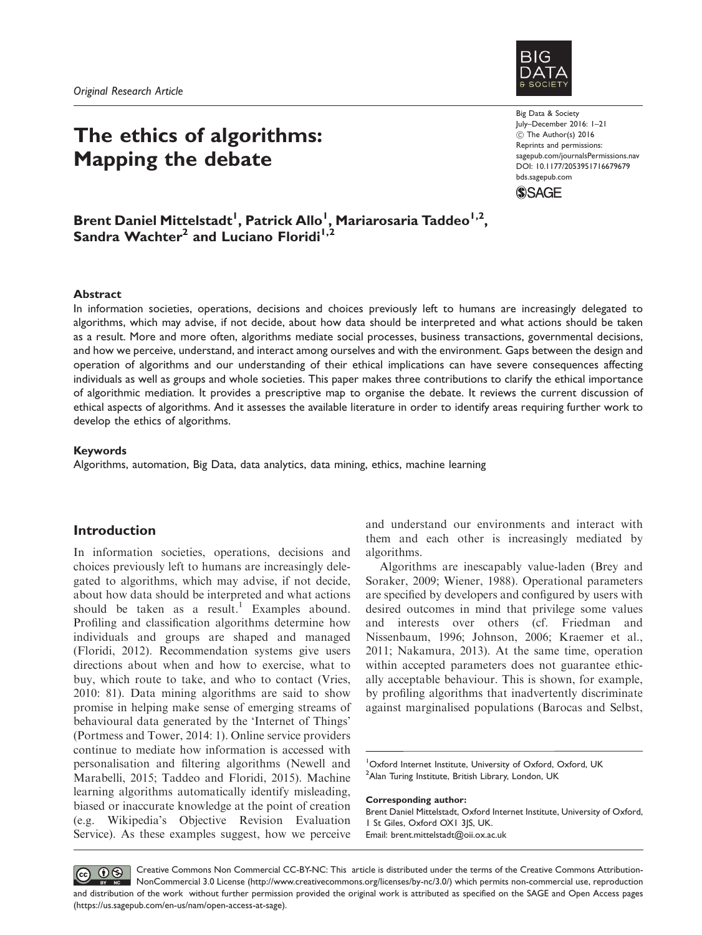# The ethics of algorithms: Mapping the debate



Big Data & Society July–December 2016: 1–21 (C) The Author(s) 2016 Reprints and permissions: sagepub.com/journalsPermissions.nav DOI: 10.1177/2053951716679679 bds.sagepub.com



# Brent Daniel Mittelstadt<sup> I</sup>, Patrick Allo<sup>I</sup>, Mariarosaria Taddeo<sup>I,2</sup>, Sandra Wachter<sup>2</sup> and Luciano Floridi<sup>1,2</sup>

## Abstract

In information societies, operations, decisions and choices previously left to humans are increasingly delegated to algorithms, which may advise, if not decide, about how data should be interpreted and what actions should be taken as a result. More and more often, algorithms mediate social processes, business transactions, governmental decisions, and how we perceive, understand, and interact among ourselves and with the environment. Gaps between the design and operation of algorithms and our understanding of their ethical implications can have severe consequences affecting individuals as well as groups and whole societies. This paper makes three contributions to clarify the ethical importance of algorithmic mediation. It provides a prescriptive map to organise the debate. It reviews the current discussion of ethical aspects of algorithms. And it assesses the available literature in order to identify areas requiring further work to develop the ethics of algorithms.

### Keywords

Algorithms, automation, Big Data, data analytics, data mining, ethics, machine learning

## Introduction

In information societies, operations, decisions and choices previously left to humans are increasingly delegated to algorithms, which may advise, if not decide, about how data should be interpreted and what actions should be taken as a result.<sup>1</sup> Examples abound. Profiling and classification algorithms determine how individuals and groups are shaped and managed (Floridi, 2012). Recommendation systems give users directions about when and how to exercise, what to buy, which route to take, and who to contact (Vries, 2010: 81). Data mining algorithms are said to show promise in helping make sense of emerging streams of behavioural data generated by the 'Internet of Things' (Portmess and Tower, 2014: 1). Online service providers continue to mediate how information is accessed with personalisation and filtering algorithms (Newell and Marabelli, 2015; Taddeo and Floridi, 2015). Machine learning algorithms automatically identify misleading, biased or inaccurate knowledge at the point of creation (e.g. Wikipedia's Objective Revision Evaluation Service). As these examples suggest, how we perceive

and understand our environments and interact with them and each other is increasingly mediated by algorithms.

Algorithms are inescapably value-laden (Brey and Soraker, 2009; Wiener, 1988). Operational parameters are specified by developers and configured by users with desired outcomes in mind that privilege some values and interests over others (cf. Friedman and Nissenbaum, 1996; Johnson, 2006; Kraemer et al., 2011; Nakamura, 2013). At the same time, operation within accepted parameters does not guarantee ethically acceptable behaviour. This is shown, for example, by profiling algorithms that inadvertently discriminate against marginalised populations (Barocas and Selbst,

1 Oxford Internet Institute, University of Oxford, Oxford, UK <sup>2</sup>Alan Turing Institute, British Library, London, UK

Corresponding author:

Brent Daniel Mittelstadt, Oxford Internet Institute, University of Oxford, 1 St Giles, Oxford OX1 3JS, UK. Email: brent.mittelstadt@oii.ox.ac.uk

Creative Commons Non Commercial CC-BY-NC: This article is distributed under the terms of the Creative Commons Attribution- $\odot$   $\odot$ NonCommercial 3.0 License (http://www.creativecommons.org/licenses/by-nc/3.0/) which permits non-commercial use, reproduction and distribution of the work without further permission provided the original work is attributed as specified on the SAGE and Open Access pages (https://us.sagepub.com/en-us/nam/open-access-at-sage).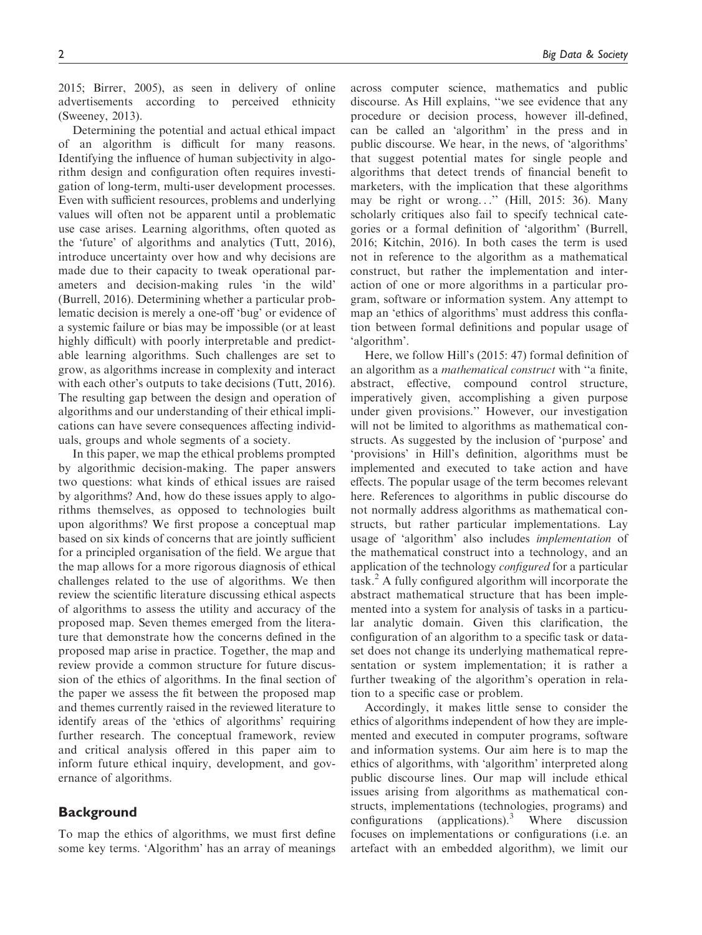2015; Birrer, 2005), as seen in delivery of online advertisements according to perceived ethnicity (Sweeney, 2013).

Determining the potential and actual ethical impact of an algorithm is difficult for many reasons. Identifying the influence of human subjectivity in algorithm design and configuration often requires investigation of long-term, multi-user development processes. Even with sufficient resources, problems and underlying values will often not be apparent until a problematic use case arises. Learning algorithms, often quoted as the 'future' of algorithms and analytics (Tutt, 2016), introduce uncertainty over how and why decisions are made due to their capacity to tweak operational parameters and decision-making rules 'in the wild' (Burrell, 2016). Determining whether a particular problematic decision is merely a one-off 'bug' or evidence of a systemic failure or bias may be impossible (or at least highly difficult) with poorly interpretable and predictable learning algorithms. Such challenges are set to grow, as algorithms increase in complexity and interact with each other's outputs to take decisions (Tutt, 2016). The resulting gap between the design and operation of algorithms and our understanding of their ethical implications can have severe consequences affecting individuals, groups and whole segments of a society.

In this paper, we map the ethical problems prompted by algorithmic decision-making. The paper answers two questions: what kinds of ethical issues are raised by algorithms? And, how do these issues apply to algorithms themselves, as opposed to technologies built upon algorithms? We first propose a conceptual map based on six kinds of concerns that are jointly sufficient for a principled organisation of the field. We argue that the map allows for a more rigorous diagnosis of ethical challenges related to the use of algorithms. We then review the scientific literature discussing ethical aspects of algorithms to assess the utility and accuracy of the proposed map. Seven themes emerged from the literature that demonstrate how the concerns defined in the proposed map arise in practice. Together, the map and review provide a common structure for future discussion of the ethics of algorithms. In the final section of the paper we assess the fit between the proposed map and themes currently raised in the reviewed literature to identify areas of the 'ethics of algorithms' requiring further research. The conceptual framework, review and critical analysis offered in this paper aim to inform future ethical inquiry, development, and governance of algorithms.

## **Background**

To map the ethics of algorithms, we must first define some key terms. 'Algorithm' has an array of meanings across computer science, mathematics and public discourse. As Hill explains, ''we see evidence that any procedure or decision process, however ill-defined, can be called an 'algorithm' in the press and in public discourse. We hear, in the news, of 'algorithms' that suggest potential mates for single people and algorithms that detect trends of financial benefit to marketers, with the implication that these algorithms may be right or wrong...'' (Hill, 2015: 36). Many scholarly critiques also fail to specify technical categories or a formal definition of 'algorithm' (Burrell, 2016; Kitchin, 2016). In both cases the term is used not in reference to the algorithm as a mathematical construct, but rather the implementation and interaction of one or more algorithms in a particular program, software or information system. Any attempt to map an 'ethics of algorithms' must address this conflation between formal definitions and popular usage of 'algorithm'.

Here, we follow Hill's (2015: 47) formal definition of an algorithm as a mathematical construct with ''a finite, abstract, effective, compound control structure, imperatively given, accomplishing a given purpose under given provisions.'' However, our investigation will not be limited to algorithms as mathematical constructs. As suggested by the inclusion of 'purpose' and 'provisions' in Hill's definition, algorithms must be implemented and executed to take action and have effects. The popular usage of the term becomes relevant here. References to algorithms in public discourse do not normally address algorithms as mathematical constructs, but rather particular implementations. Lay usage of 'algorithm' also includes implementation of the mathematical construct into a technology, and an application of the technology configured for a particular task.<sup>2</sup> A fully configured algorithm will incorporate the abstract mathematical structure that has been implemented into a system for analysis of tasks in a particular analytic domain. Given this clarification, the configuration of an algorithm to a specific task or dataset does not change its underlying mathematical representation or system implementation; it is rather a further tweaking of the algorithm's operation in relation to a specific case or problem.

Accordingly, it makes little sense to consider the ethics of algorithms independent of how they are implemented and executed in computer programs, software and information systems. Our aim here is to map the ethics of algorithms, with 'algorithm' interpreted along public discourse lines. Our map will include ethical issues arising from algorithms as mathematical constructs, implementations (technologies, programs) and configurations (applications).<sup>3</sup> Where discussion focuses on implementations or configurations (i.e. an artefact with an embedded algorithm), we limit our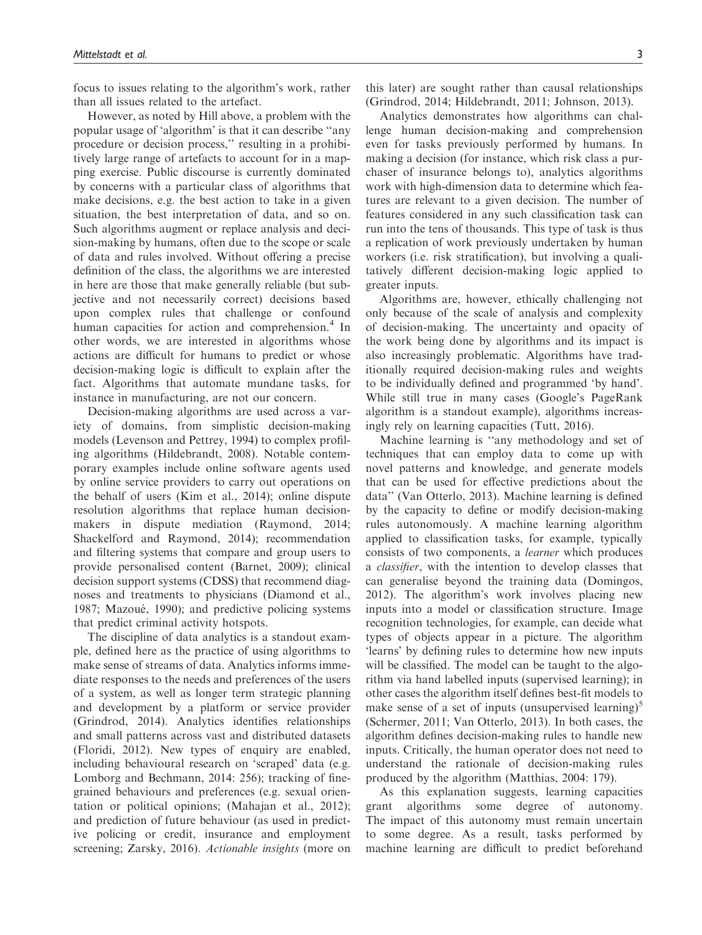focus to issues relating to the algorithm's work, rather than all issues related to the artefact.

However, as noted by Hill above, a problem with the popular usage of 'algorithm' is that it can describe ''any procedure or decision process,'' resulting in a prohibitively large range of artefacts to account for in a mapping exercise. Public discourse is currently dominated by concerns with a particular class of algorithms that make decisions, e.g. the best action to take in a given situation, the best interpretation of data, and so on. Such algorithms augment or replace analysis and decision-making by humans, often due to the scope or scale of data and rules involved. Without offering a precise definition of the class, the algorithms we are interested in here are those that make generally reliable (but subjective and not necessarily correct) decisions based upon complex rules that challenge or confound human capacities for action and comprehension.<sup>4</sup> In other words, we are interested in algorithms whose actions are difficult for humans to predict or whose decision-making logic is difficult to explain after the fact. Algorithms that automate mundane tasks, for instance in manufacturing, are not our concern.

Decision-making algorithms are used across a variety of domains, from simplistic decision-making models (Levenson and Pettrey, 1994) to complex profiling algorithms (Hildebrandt, 2008). Notable contemporary examples include online software agents used by online service providers to carry out operations on the behalf of users (Kim et al., 2014); online dispute resolution algorithms that replace human decisionmakers in dispute mediation (Raymond, 2014; Shackelford and Raymond, 2014); recommendation and filtering systems that compare and group users to provide personalised content (Barnet, 2009); clinical decision support systems (CDSS) that recommend diagnoses and treatments to physicians (Diamond et al., 1987; Mazoué, 1990); and predictive policing systems that predict criminal activity hotspots.

The discipline of data analytics is a standout example, defined here as the practice of using algorithms to make sense of streams of data. Analytics informs immediate responses to the needs and preferences of the users of a system, as well as longer term strategic planning and development by a platform or service provider (Grindrod, 2014). Analytics identifies relationships and small patterns across vast and distributed datasets (Floridi, 2012). New types of enquiry are enabled, including behavioural research on 'scraped' data (e.g. Lomborg and Bechmann, 2014: 256); tracking of finegrained behaviours and preferences (e.g. sexual orientation or political opinions; (Mahajan et al., 2012); and prediction of future behaviour (as used in predictive policing or credit, insurance and employment screening; Zarsky, 2016). Actionable insights (more on this later) are sought rather than causal relationships (Grindrod, 2014; Hildebrandt, 2011; Johnson, 2013).

Analytics demonstrates how algorithms can challenge human decision-making and comprehension even for tasks previously performed by humans. In making a decision (for instance, which risk class a purchaser of insurance belongs to), analytics algorithms work with high-dimension data to determine which features are relevant to a given decision. The number of features considered in any such classification task can run into the tens of thousands. This type of task is thus a replication of work previously undertaken by human workers (i.e. risk stratification), but involving a qualitatively different decision-making logic applied to greater inputs.

Algorithms are, however, ethically challenging not only because of the scale of analysis and complexity of decision-making. The uncertainty and opacity of the work being done by algorithms and its impact is also increasingly problematic. Algorithms have traditionally required decision-making rules and weights to be individually defined and programmed 'by hand'. While still true in many cases (Google's PageRank algorithm is a standout example), algorithms increasingly rely on learning capacities (Tutt, 2016).

Machine learning is ''any methodology and set of techniques that can employ data to come up with novel patterns and knowledge, and generate models that can be used for effective predictions about the data'' (Van Otterlo, 2013). Machine learning is defined by the capacity to define or modify decision-making rules autonomously. A machine learning algorithm applied to classification tasks, for example, typically consists of two components, a learner which produces a classifier, with the intention to develop classes that can generalise beyond the training data (Domingos, 2012). The algorithm's work involves placing new inputs into a model or classification structure. Image recognition technologies, for example, can decide what types of objects appear in a picture. The algorithm 'learns' by defining rules to determine how new inputs will be classified. The model can be taught to the algorithm via hand labelled inputs (supervised learning); in other cases the algorithm itself defines best-fit models to make sense of a set of inputs (unsupervised learning)<sup>5</sup> (Schermer, 2011; Van Otterlo, 2013). In both cases, the algorithm defines decision-making rules to handle new inputs. Critically, the human operator does not need to understand the rationale of decision-making rules produced by the algorithm (Matthias, 2004: 179).

As this explanation suggests, learning capacities grant algorithms some degree of autonomy. The impact of this autonomy must remain uncertain to some degree. As a result, tasks performed by machine learning are difficult to predict beforehand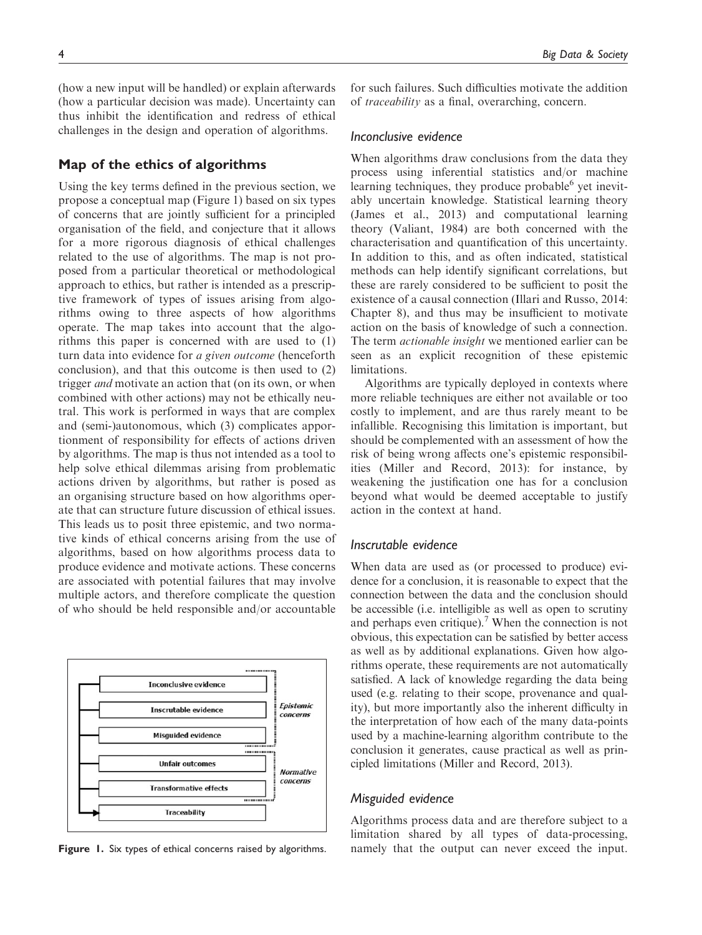(how a new input will be handled) or explain afterwards (how a particular decision was made). Uncertainty can thus inhibit the identification and redress of ethical challenges in the design and operation of algorithms.

## Map of the ethics of algorithms

Using the key terms defined in the previous section, we propose a conceptual map (Figure 1) based on six types of concerns that are jointly sufficient for a principled organisation of the field, and conjecture that it allows for a more rigorous diagnosis of ethical challenges related to the use of algorithms. The map is not proposed from a particular theoretical or methodological approach to ethics, but rather is intended as a prescriptive framework of types of issues arising from algorithms owing to three aspects of how algorithms operate. The map takes into account that the algorithms this paper is concerned with are used to (1) turn data into evidence for a given outcome (henceforth conclusion), and that this outcome is then used to (2) trigger *and* motivate an action that (on its own, or when combined with other actions) may not be ethically neutral. This work is performed in ways that are complex and (semi-)autonomous, which (3) complicates apportionment of responsibility for effects of actions driven by algorithms. The map is thus not intended as a tool to help solve ethical dilemmas arising from problematic actions driven by algorithms, but rather is posed as an organising structure based on how algorithms operate that can structure future discussion of ethical issues. This leads us to posit three epistemic, and two normative kinds of ethical concerns arising from the use of algorithms, based on how algorithms process data to produce evidence and motivate actions. These concerns are associated with potential failures that may involve multiple actors, and therefore complicate the question of who should be held responsible and/or accountable



for such failures. Such difficulties motivate the addition of traceability as a final, overarching, concern.

#### Inconclusive evidence

When algorithms draw conclusions from the data they process using inferential statistics and/or machine learning techniques, they produce probable $<sup>6</sup>$  yet inevit-</sup> ably uncertain knowledge. Statistical learning theory (James et al., 2013) and computational learning theory (Valiant, 1984) are both concerned with the characterisation and quantification of this uncertainty. In addition to this, and as often indicated, statistical methods can help identify significant correlations, but these are rarely considered to be sufficient to posit the existence of a causal connection (Illari and Russo, 2014: Chapter 8), and thus may be insufficient to motivate action on the basis of knowledge of such a connection. The term *actionable insight* we mentioned earlier can be seen as an explicit recognition of these epistemic limitations.

Algorithms are typically deployed in contexts where more reliable techniques are either not available or too costly to implement, and are thus rarely meant to be infallible. Recognising this limitation is important, but should be complemented with an assessment of how the risk of being wrong affects one's epistemic responsibilities (Miller and Record, 2013): for instance, by weakening the justification one has for a conclusion beyond what would be deemed acceptable to justify action in the context at hand.

### Inscrutable evidence

When data are used as (or processed to produce) evidence for a conclusion, it is reasonable to expect that the connection between the data and the conclusion should be accessible (i.e. intelligible as well as open to scrutiny and perhaps even critique).<sup>7</sup> When the connection is not obvious, this expectation can be satisfied by better access as well as by additional explanations. Given how algorithms operate, these requirements are not automatically satisfied. A lack of knowledge regarding the data being used (e.g. relating to their scope, provenance and quality), but more importantly also the inherent difficulty in the interpretation of how each of the many data-points used by a machine-learning algorithm contribute to the conclusion it generates, cause practical as well as principled limitations (Miller and Record, 2013).

#### Misguided evidence

Algorithms process data and are therefore subject to a limitation shared by all types of data-processing, Figure 1. Six types of ethical concerns raised by algorithms. namely that the output can never exceed the input.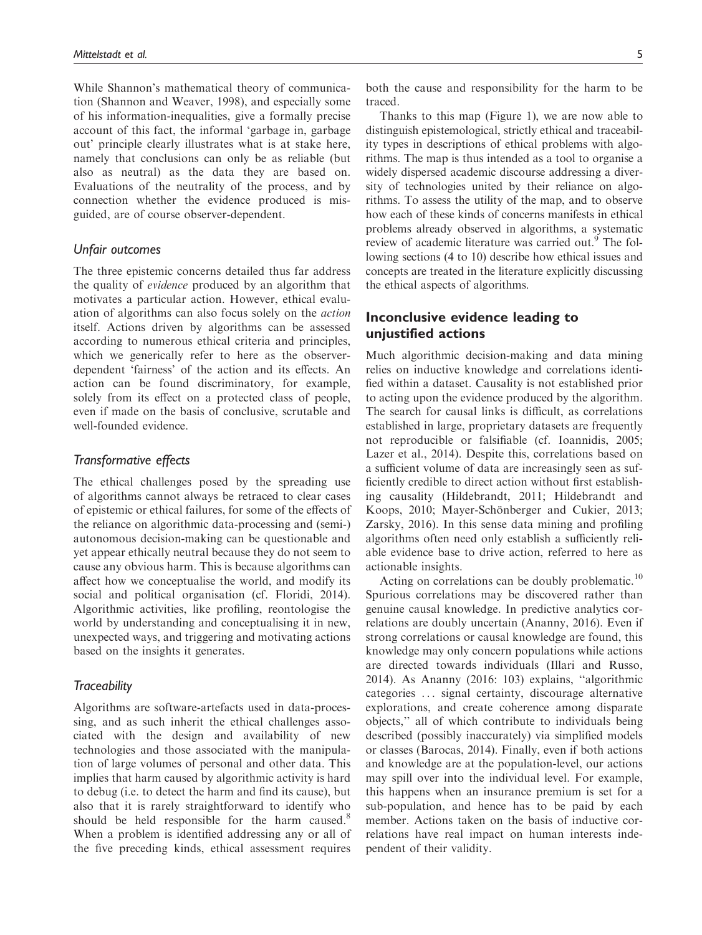While Shannon's mathematical theory of communication (Shannon and Weaver, 1998), and especially some of his information-inequalities, give a formally precise account of this fact, the informal 'garbage in, garbage out' principle clearly illustrates what is at stake here, namely that conclusions can only be as reliable (but also as neutral) as the data they are based on. Evaluations of the neutrality of the process, and by connection whether the evidence produced is misguided, are of course observer-dependent.

#### Unfair outcomes

The three epistemic concerns detailed thus far address the quality of evidence produced by an algorithm that motivates a particular action. However, ethical evaluation of algorithms can also focus solely on the action itself. Actions driven by algorithms can be assessed according to numerous ethical criteria and principles, which we generically refer to here as the observerdependent 'fairness' of the action and its effects. An action can be found discriminatory, for example, solely from its effect on a protected class of people, even if made on the basis of conclusive, scrutable and well-founded evidence.

## Transformative effects

The ethical challenges posed by the spreading use of algorithms cannot always be retraced to clear cases of epistemic or ethical failures, for some of the effects of the reliance on algorithmic data-processing and (semi-) autonomous decision-making can be questionable and yet appear ethically neutral because they do not seem to cause any obvious harm. This is because algorithms can affect how we conceptualise the world, and modify its social and political organisation (cf. Floridi, 2014). Algorithmic activities, like profiling, reontologise the world by understanding and conceptualising it in new, unexpected ways, and triggering and motivating actions based on the insights it generates.

#### **Traceability**

Algorithms are software-artefacts used in data-processing, and as such inherit the ethical challenges associated with the design and availability of new technologies and those associated with the manipulation of large volumes of personal and other data. This implies that harm caused by algorithmic activity is hard to debug (i.e. to detect the harm and find its cause), but also that it is rarely straightforward to identify who should be held responsible for the harm caused.<sup>8</sup> When a problem is identified addressing any or all of the five preceding kinds, ethical assessment requires both the cause and responsibility for the harm to be traced.

Thanks to this map (Figure 1), we are now able to distinguish epistemological, strictly ethical and traceability types in descriptions of ethical problems with algorithms. The map is thus intended as a tool to organise a widely dispersed academic discourse addressing a diversity of technologies united by their reliance on algorithms. To assess the utility of the map, and to observe how each of these kinds of concerns manifests in ethical problems already observed in algorithms, a systematic review of academic literature was carried out.<sup>9</sup> The following sections (4 to 10) describe how ethical issues and concepts are treated in the literature explicitly discussing the ethical aspects of algorithms.

# Inconclusive evidence leading to unjustified actions

Much algorithmic decision-making and data mining relies on inductive knowledge and correlations identified within a dataset. Causality is not established prior to acting upon the evidence produced by the algorithm. The search for causal links is difficult, as correlations established in large, proprietary datasets are frequently not reproducible or falsifiable (cf. Ioannidis, 2005; Lazer et al., 2014). Despite this, correlations based on a sufficient volume of data are increasingly seen as sufficiently credible to direct action without first establishing causality (Hildebrandt, 2011; Hildebrandt and Koops, 2010; Mayer-Schönberger and Cukier, 2013; Zarsky, 2016). In this sense data mining and profiling algorithms often need only establish a sufficiently reliable evidence base to drive action, referred to here as actionable insights.

Acting on correlations can be doubly problematic.<sup>10</sup> Spurious correlations may be discovered rather than genuine causal knowledge. In predictive analytics correlations are doubly uncertain (Ananny, 2016). Even if strong correlations or causal knowledge are found, this knowledge may only concern populations while actions are directed towards individuals (Illari and Russo, 2014). As Ananny (2016: 103) explains, ''algorithmic categories ... signal certainty, discourage alternative explorations, and create coherence among disparate objects,'' all of which contribute to individuals being described (possibly inaccurately) via simplified models or classes (Barocas, 2014). Finally, even if both actions and knowledge are at the population-level, our actions may spill over into the individual level. For example, this happens when an insurance premium is set for a sub-population, and hence has to be paid by each member. Actions taken on the basis of inductive correlations have real impact on human interests independent of their validity.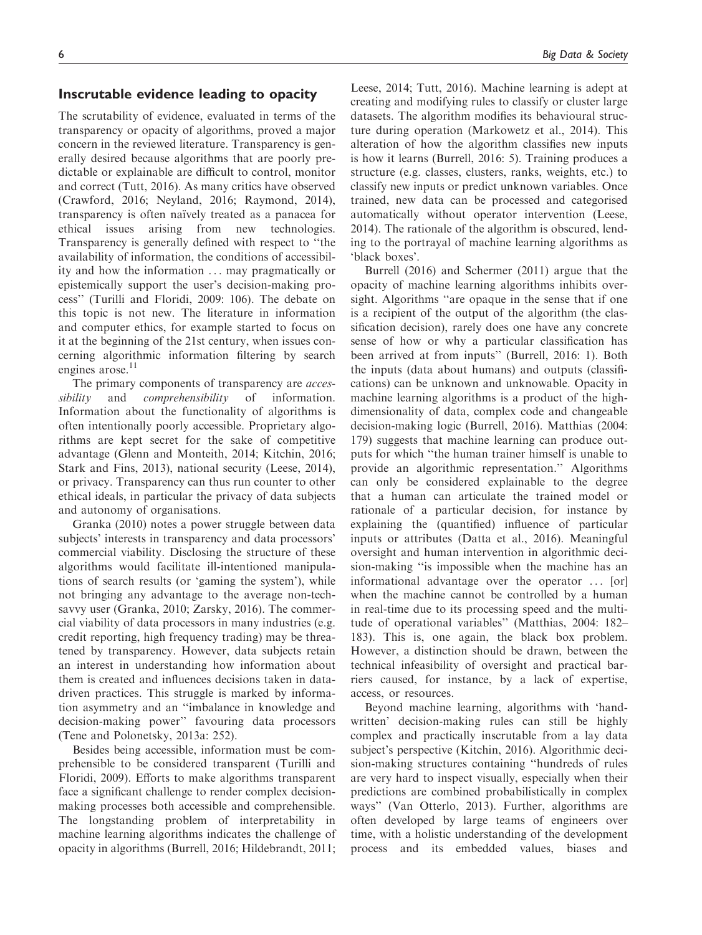## Inscrutable evidence leading to opacity

The scrutability of evidence, evaluated in terms of the transparency or opacity of algorithms, proved a major concern in the reviewed literature. Transparency is generally desired because algorithms that are poorly predictable or explainable are difficult to control, monitor and correct (Tutt, 2016). As many critics have observed (Crawford, 2016; Neyland, 2016; Raymond, 2014), transparency is often naïvely treated as a panacea for ethical issues arising from new technologies. Transparency is generally defined with respect to ''the availability of information, the conditions of accessibility and how the information ... may pragmatically or epistemically support the user's decision-making process'' (Turilli and Floridi, 2009: 106). The debate on this topic is not new. The literature in information and computer ethics, for example started to focus on it at the beginning of the 21st century, when issues concerning algorithmic information filtering by search engines arose. $11$ 

The primary components of transparency are accessibility and *comprehensibility* of information. Information about the functionality of algorithms is often intentionally poorly accessible. Proprietary algorithms are kept secret for the sake of competitive advantage (Glenn and Monteith, 2014; Kitchin, 2016; Stark and Fins, 2013), national security (Leese, 2014), or privacy. Transparency can thus run counter to other ethical ideals, in particular the privacy of data subjects and autonomy of organisations.

Granka (2010) notes a power struggle between data subjects' interests in transparency and data processors' commercial viability. Disclosing the structure of these algorithms would facilitate ill-intentioned manipulations of search results (or 'gaming the system'), while not bringing any advantage to the average non-techsavvy user (Granka, 2010; Zarsky, 2016). The commercial viability of data processors in many industries (e.g. credit reporting, high frequency trading) may be threatened by transparency. However, data subjects retain an interest in understanding how information about them is created and influences decisions taken in datadriven practices. This struggle is marked by information asymmetry and an ''imbalance in knowledge and decision-making power'' favouring data processors (Tene and Polonetsky, 2013a: 252).

Besides being accessible, information must be comprehensible to be considered transparent (Turilli and Floridi, 2009). Efforts to make algorithms transparent face a significant challenge to render complex decisionmaking processes both accessible and comprehensible. The longstanding problem of interpretability in machine learning algorithms indicates the challenge of opacity in algorithms (Burrell, 2016; Hildebrandt, 2011;

Leese, 2014; Tutt, 2016). Machine learning is adept at creating and modifying rules to classify or cluster large datasets. The algorithm modifies its behavioural structure during operation (Markowetz et al., 2014). This alteration of how the algorithm classifies new inputs is how it learns (Burrell, 2016: 5). Training produces a structure (e.g. classes, clusters, ranks, weights, etc.) to classify new inputs or predict unknown variables. Once trained, new data can be processed and categorised automatically without operator intervention (Leese, 2014). The rationale of the algorithm is obscured, lending to the portrayal of machine learning algorithms as 'black boxes'.

Burrell (2016) and Schermer (2011) argue that the opacity of machine learning algorithms inhibits oversight. Algorithms ''are opaque in the sense that if one is a recipient of the output of the algorithm (the classification decision), rarely does one have any concrete sense of how or why a particular classification has been arrived at from inputs'' (Burrell, 2016: 1). Both the inputs (data about humans) and outputs (classifications) can be unknown and unknowable. Opacity in machine learning algorithms is a product of the highdimensionality of data, complex code and changeable decision-making logic (Burrell, 2016). Matthias (2004: 179) suggests that machine learning can produce outputs for which ''the human trainer himself is unable to provide an algorithmic representation.'' Algorithms can only be considered explainable to the degree that a human can articulate the trained model or rationale of a particular decision, for instance by explaining the (quantified) influence of particular inputs or attributes (Datta et al., 2016). Meaningful oversight and human intervention in algorithmic decision-making ''is impossible when the machine has an informational advantage over the operator ... [or] when the machine cannot be controlled by a human in real-time due to its processing speed and the multitude of operational variables'' (Matthias, 2004: 182– 183). This is, one again, the black box problem. However, a distinction should be drawn, between the technical infeasibility of oversight and practical barriers caused, for instance, by a lack of expertise, access, or resources.

Beyond machine learning, algorithms with 'handwritten' decision-making rules can still be highly complex and practically inscrutable from a lay data subject's perspective (Kitchin, 2016). Algorithmic decision-making structures containing ''hundreds of rules are very hard to inspect visually, especially when their predictions are combined probabilistically in complex ways'' (Van Otterlo, 2013). Further, algorithms are often developed by large teams of engineers over time, with a holistic understanding of the development process and its embedded values, biases and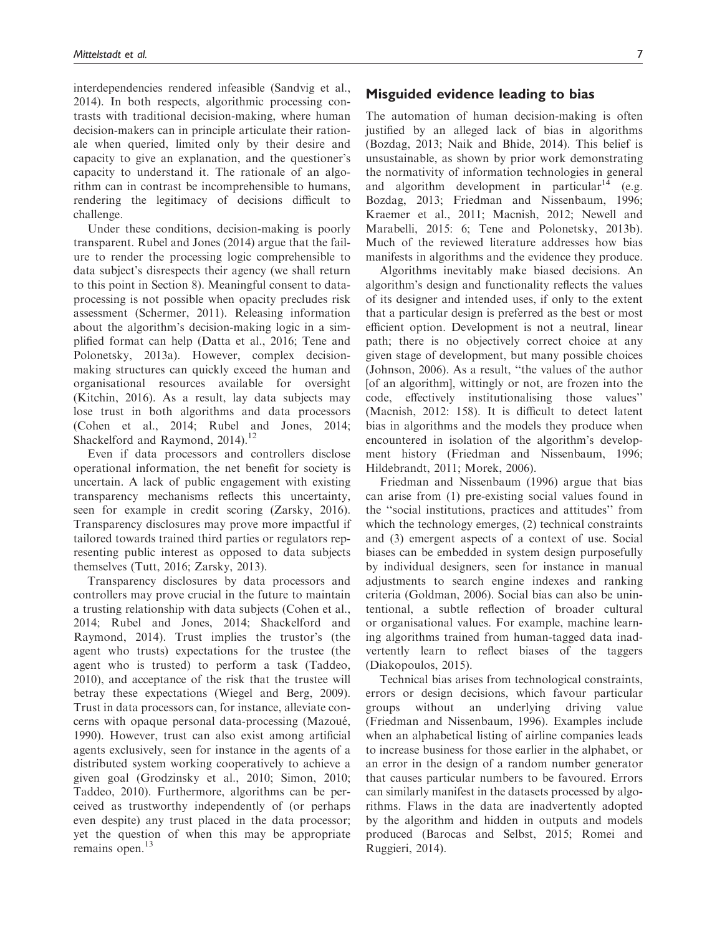interdependencies rendered infeasible (Sandvig et al., 2014). In both respects, algorithmic processing contrasts with traditional decision-making, where human decision-makers can in principle articulate their rationale when queried, limited only by their desire and capacity to give an explanation, and the questioner's capacity to understand it. The rationale of an algorithm can in contrast be incomprehensible to humans, rendering the legitimacy of decisions difficult to challenge.

Under these conditions, decision-making is poorly transparent. Rubel and Jones (2014) argue that the failure to render the processing logic comprehensible to data subject's disrespects their agency (we shall return to this point in Section 8). Meaningful consent to dataprocessing is not possible when opacity precludes risk assessment (Schermer, 2011). Releasing information about the algorithm's decision-making logic in a simplified format can help (Datta et al., 2016; Tene and Polonetsky, 2013a). However, complex decisionmaking structures can quickly exceed the human and organisational resources available for oversight (Kitchin, 2016). As a result, lay data subjects may lose trust in both algorithms and data processors (Cohen et al., 2014; Rubel and Jones, 2014; Shackelford and Raymond, 2014).<sup>12</sup>

Even if data processors and controllers disclose operational information, the net benefit for society is uncertain. A lack of public engagement with existing transparency mechanisms reflects this uncertainty, seen for example in credit scoring (Zarsky, 2016). Transparency disclosures may prove more impactful if tailored towards trained third parties or regulators representing public interest as opposed to data subjects themselves (Tutt, 2016; Zarsky, 2013).

Transparency disclosures by data processors and controllers may prove crucial in the future to maintain a trusting relationship with data subjects (Cohen et al., 2014; Rubel and Jones, 2014; Shackelford and Raymond, 2014). Trust implies the trustor's (the agent who trusts) expectations for the trustee (the agent who is trusted) to perform a task (Taddeo, 2010), and acceptance of the risk that the trustee will betray these expectations (Wiegel and Berg, 2009). Trust in data processors can, for instance, alleviate concerns with opaque personal data-processing (Mazoué, 1990). However, trust can also exist among artificial agents exclusively, seen for instance in the agents of a distributed system working cooperatively to achieve a given goal (Grodzinsky et al., 2010; Simon, 2010; Taddeo, 2010). Furthermore, algorithms can be perceived as trustworthy independently of (or perhaps even despite) any trust placed in the data processor; yet the question of when this may be appropriate remains open.<sup>13</sup>

The automation of human decision-making is often justified by an alleged lack of bias in algorithms (Bozdag, 2013; Naik and Bhide, 2014). This belief is unsustainable, as shown by prior work demonstrating the normativity of information technologies in general and algorithm development in particular<sup>14</sup> (e.g. Bozdag, 2013; Friedman and Nissenbaum, 1996; Kraemer et al., 2011; Macnish, 2012; Newell and Marabelli, 2015: 6; Tene and Polonetsky, 2013b). Much of the reviewed literature addresses how bias manifests in algorithms and the evidence they produce.

Algorithms inevitably make biased decisions. An algorithm's design and functionality reflects the values of its designer and intended uses, if only to the extent that a particular design is preferred as the best or most efficient option. Development is not a neutral, linear path; there is no objectively correct choice at any given stage of development, but many possible choices (Johnson, 2006). As a result, ''the values of the author [of an algorithm], wittingly or not, are frozen into the code, effectively institutionalising those values'' (Macnish, 2012: 158). It is difficult to detect latent bias in algorithms and the models they produce when encountered in isolation of the algorithm's development history (Friedman and Nissenbaum, 1996; Hildebrandt, 2011; Morek, 2006).

Friedman and Nissenbaum (1996) argue that bias can arise from (1) pre-existing social values found in the ''social institutions, practices and attitudes'' from which the technology emerges,  $(2)$  technical constraints and (3) emergent aspects of a context of use. Social biases can be embedded in system design purposefully by individual designers, seen for instance in manual adjustments to search engine indexes and ranking criteria (Goldman, 2006). Social bias can also be unintentional, a subtle reflection of broader cultural or organisational values. For example, machine learning algorithms trained from human-tagged data inadvertently learn to reflect biases of the taggers (Diakopoulos, 2015).

Technical bias arises from technological constraints, errors or design decisions, which favour particular groups without an underlying driving value (Friedman and Nissenbaum, 1996). Examples include when an alphabetical listing of airline companies leads to increase business for those earlier in the alphabet, or an error in the design of a random number generator that causes particular numbers to be favoured. Errors can similarly manifest in the datasets processed by algorithms. Flaws in the data are inadvertently adopted by the algorithm and hidden in outputs and models produced (Barocas and Selbst, 2015; Romei and Ruggieri, 2014).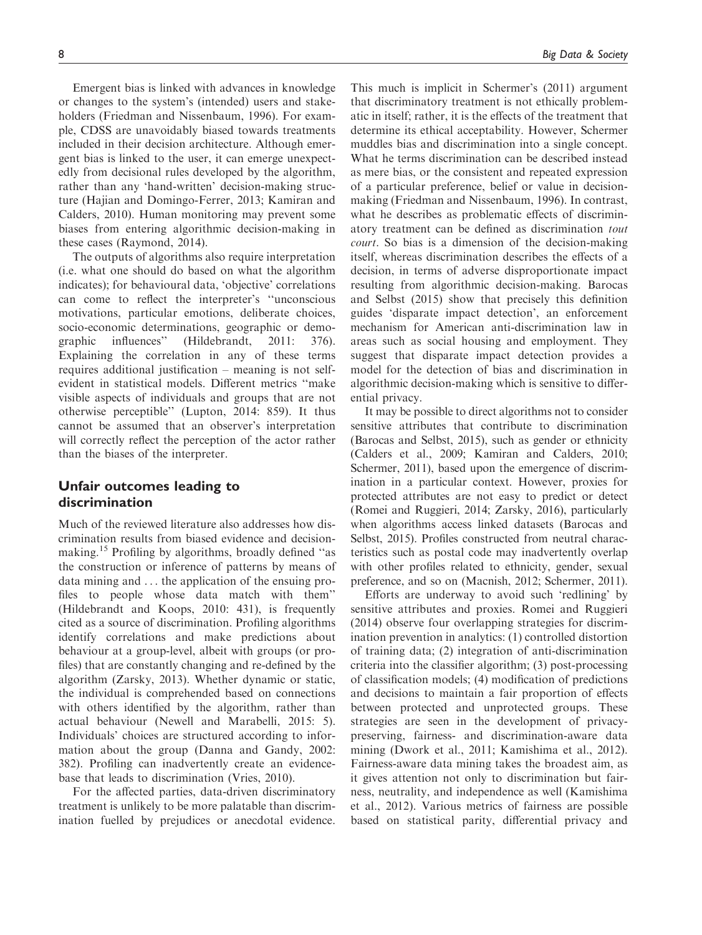Emergent bias is linked with advances in knowledge or changes to the system's (intended) users and stakeholders (Friedman and Nissenbaum, 1996). For example, CDSS are unavoidably biased towards treatments included in their decision architecture. Although emergent bias is linked to the user, it can emerge unexpectedly from decisional rules developed by the algorithm, rather than any 'hand-written' decision-making structure (Hajian and Domingo-Ferrer, 2013; Kamiran and Calders, 2010). Human monitoring may prevent some biases from entering algorithmic decision-making in these cases (Raymond, 2014).

The outputs of algorithms also require interpretation (i.e. what one should do based on what the algorithm indicates); for behavioural data, 'objective' correlations can come to reflect the interpreter's ''unconscious motivations, particular emotions, deliberate choices, socio-economic determinations, geographic or demographic influences'' (Hildebrandt, 2011: 376). Explaining the correlation in any of these terms requires additional justification – meaning is not selfevident in statistical models. Different metrics ''make visible aspects of individuals and groups that are not otherwise perceptible'' (Lupton, 2014: 859). It thus cannot be assumed that an observer's interpretation will correctly reflect the perception of the actor rather than the biases of the interpreter.

# Unfair outcomes leading to discrimination

Much of the reviewed literature also addresses how discrimination results from biased evidence and decisionmaking.<sup>15</sup> Profiling by algorithms, broadly defined ''as the construction or inference of patterns by means of data mining and ... the application of the ensuing profiles to people whose data match with them'' (Hildebrandt and Koops, 2010: 431), is frequently cited as a source of discrimination. Profiling algorithms identify correlations and make predictions about behaviour at a group-level, albeit with groups (or profiles) that are constantly changing and re-defined by the algorithm (Zarsky, 2013). Whether dynamic or static, the individual is comprehended based on connections with others identified by the algorithm, rather than actual behaviour (Newell and Marabelli, 2015: 5). Individuals' choices are structured according to information about the group (Danna and Gandy, 2002: 382). Profiling can inadvertently create an evidencebase that leads to discrimination (Vries, 2010).

For the affected parties, data-driven discriminatory treatment is unlikely to be more palatable than discrimination fuelled by prejudices or anecdotal evidence.

This much is implicit in Schermer's (2011) argument that discriminatory treatment is not ethically problematic in itself; rather, it is the effects of the treatment that determine its ethical acceptability. However, Schermer muddles bias and discrimination into a single concept. What he terms discrimination can be described instead as mere bias, or the consistent and repeated expression of a particular preference, belief or value in decisionmaking (Friedman and Nissenbaum, 1996). In contrast, what he describes as problematic effects of discriminatory treatment can be defined as discrimination tout court. So bias is a dimension of the decision-making itself, whereas discrimination describes the effects of a decision, in terms of adverse disproportionate impact resulting from algorithmic decision-making. Barocas and Selbst (2015) show that precisely this definition guides 'disparate impact detection', an enforcement mechanism for American anti-discrimination law in areas such as social housing and employment. They suggest that disparate impact detection provides a model for the detection of bias and discrimination in algorithmic decision-making which is sensitive to differential privacy.

It may be possible to direct algorithms not to consider sensitive attributes that contribute to discrimination (Barocas and Selbst, 2015), such as gender or ethnicity (Calders et al., 2009; Kamiran and Calders, 2010; Schermer, 2011), based upon the emergence of discrimination in a particular context. However, proxies for protected attributes are not easy to predict or detect (Romei and Ruggieri, 2014; Zarsky, 2016), particularly when algorithms access linked datasets (Barocas and Selbst, 2015). Profiles constructed from neutral characteristics such as postal code may inadvertently overlap with other profiles related to ethnicity, gender, sexual preference, and so on (Macnish, 2012; Schermer, 2011).

Efforts are underway to avoid such 'redlining' by sensitive attributes and proxies. Romei and Ruggieri (2014) observe four overlapping strategies for discrimination prevention in analytics: (1) controlled distortion of training data; (2) integration of anti-discrimination criteria into the classifier algorithm; (3) post-processing of classification models; (4) modification of predictions and decisions to maintain a fair proportion of effects between protected and unprotected groups. These strategies are seen in the development of privacypreserving, fairness- and discrimination-aware data mining (Dwork et al., 2011; Kamishima et al., 2012). Fairness-aware data mining takes the broadest aim, as it gives attention not only to discrimination but fairness, neutrality, and independence as well (Kamishima et al., 2012). Various metrics of fairness are possible based on statistical parity, differential privacy and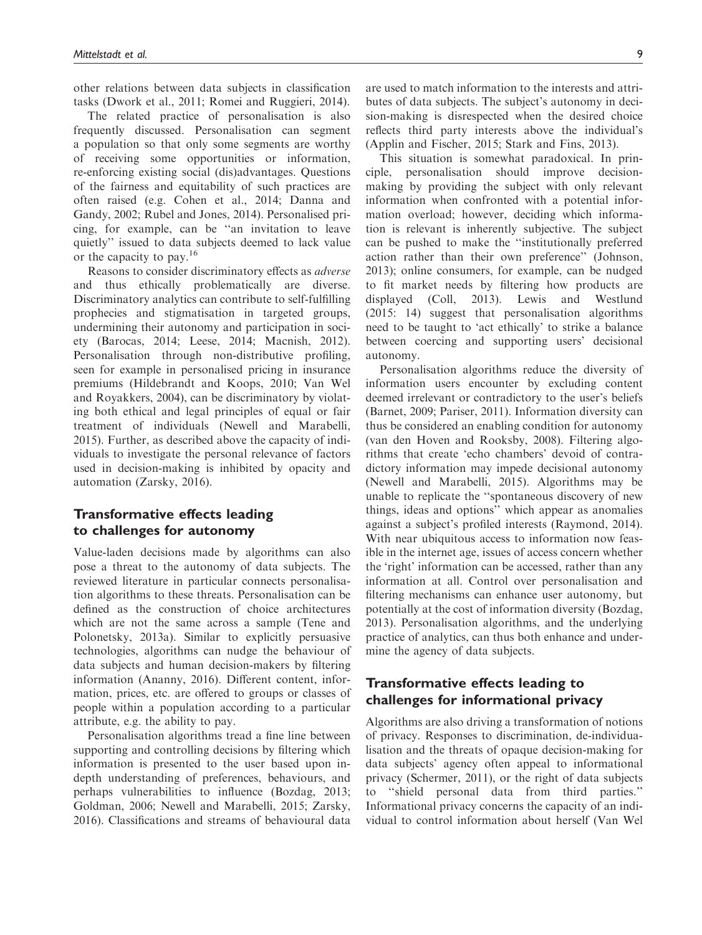other relations between data subjects in classification tasks (Dwork et al., 2011; Romei and Ruggieri, 2014).

The related practice of personalisation is also frequently discussed. Personalisation can segment a population so that only some segments are worthy of receiving some opportunities or information, re-enforcing existing social (dis)advantages. Questions of the fairness and equitability of such practices are often raised (e.g. Cohen et al., 2014; Danna and Gandy, 2002; Rubel and Jones, 2014). Personalised pricing, for example, can be ''an invitation to leave quietly'' issued to data subjects deemed to lack value or the capacity to pay.<sup>16</sup>

Reasons to consider discriminatory effects as adverse and thus ethically problematically are diverse. Discriminatory analytics can contribute to self-fulfilling prophecies and stigmatisation in targeted groups, undermining their autonomy and participation in society (Barocas, 2014; Leese, 2014; Macnish, 2012). Personalisation through non-distributive profiling, seen for example in personalised pricing in insurance premiums (Hildebrandt and Koops, 2010; Van Wel and Royakkers, 2004), can be discriminatory by violating both ethical and legal principles of equal or fair treatment of individuals (Newell and Marabelli, 2015). Further, as described above the capacity of individuals to investigate the personal relevance of factors used in decision-making is inhibited by opacity and automation (Zarsky, 2016).

# Transformative effects leading to challenges for autonomy

Value-laden decisions made by algorithms can also pose a threat to the autonomy of data subjects. The reviewed literature in particular connects personalisation algorithms to these threats. Personalisation can be defined as the construction of choice architectures which are not the same across a sample (Tene and Polonetsky, 2013a). Similar to explicitly persuasive technologies, algorithms can nudge the behaviour of data subjects and human decision-makers by filtering information (Ananny, 2016). Different content, information, prices, etc. are offered to groups or classes of people within a population according to a particular attribute, e.g. the ability to pay.

Personalisation algorithms tread a fine line between supporting and controlling decisions by filtering which information is presented to the user based upon indepth understanding of preferences, behaviours, and perhaps vulnerabilities to influence (Bozdag, 2013; Goldman, 2006; Newell and Marabelli, 2015; Zarsky, 2016). Classifications and streams of behavioural data are used to match information to the interests and attributes of data subjects. The subject's autonomy in decision-making is disrespected when the desired choice reflects third party interests above the individual's (Applin and Fischer, 2015; Stark and Fins, 2013).

This situation is somewhat paradoxical. In principle, personalisation should improve decisionmaking by providing the subject with only relevant information when confronted with a potential information overload; however, deciding which information is relevant is inherently subjective. The subject can be pushed to make the ''institutionally preferred action rather than their own preference'' (Johnson, 2013); online consumers, for example, can be nudged to fit market needs by filtering how products are displayed (Coll, 2013). Lewis and Westlund (2015: 14) suggest that personalisation algorithms need to be taught to 'act ethically' to strike a balance between coercing and supporting users' decisional autonomy.

Personalisation algorithms reduce the diversity of information users encounter by excluding content deemed irrelevant or contradictory to the user's beliefs (Barnet, 2009; Pariser, 2011). Information diversity can thus be considered an enabling condition for autonomy (van den Hoven and Rooksby, 2008). Filtering algorithms that create 'echo chambers' devoid of contradictory information may impede decisional autonomy (Newell and Marabelli, 2015). Algorithms may be unable to replicate the ''spontaneous discovery of new things, ideas and options'' which appear as anomalies against a subject's profiled interests (Raymond, 2014). With near ubiquitous access to information now feasible in the internet age, issues of access concern whether the 'right' information can be accessed, rather than any information at all. Control over personalisation and filtering mechanisms can enhance user autonomy, but potentially at the cost of information diversity (Bozdag, 2013). Personalisation algorithms, and the underlying practice of analytics, can thus both enhance and undermine the agency of data subjects.

# Transformative effects leading to challenges for informational privacy

Algorithms are also driving a transformation of notions of privacy. Responses to discrimination, de-individualisation and the threats of opaque decision-making for data subjects' agency often appeal to informational privacy (Schermer, 2011), or the right of data subjects to ''shield personal data from third parties.'' Informational privacy concerns the capacity of an individual to control information about herself (Van Wel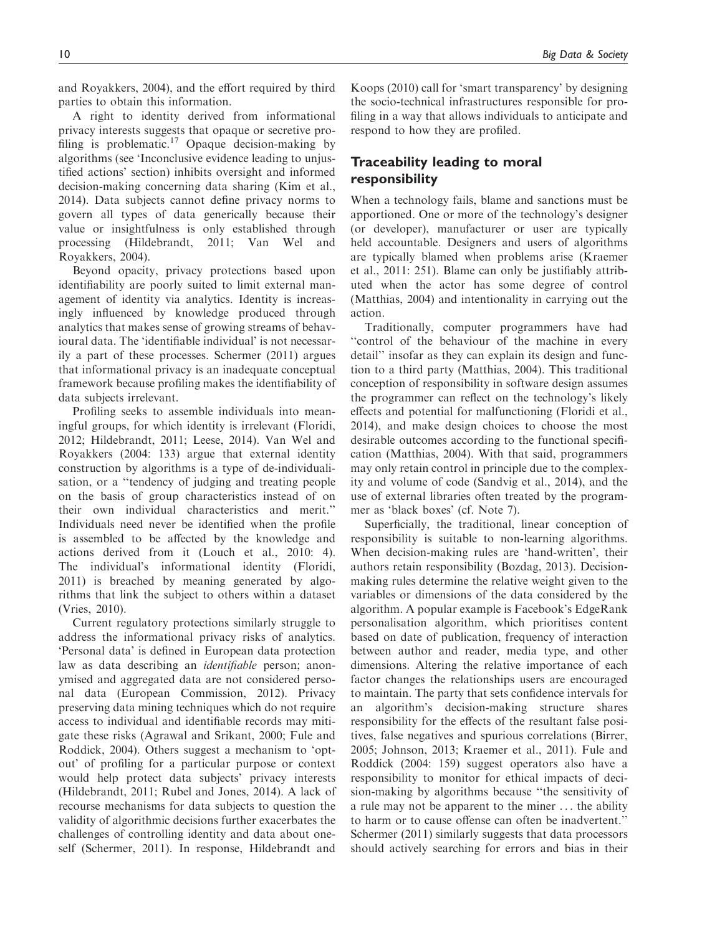and Royakkers, 2004), and the effort required by third parties to obtain this information.

A right to identity derived from informational privacy interests suggests that opaque or secretive profiling is problematic.<sup>17</sup> Opaque decision-making by algorithms (see 'Inconclusive evidence leading to unjustified actions' section) inhibits oversight and informed decision-making concerning data sharing (Kim et al., 2014). Data subjects cannot define privacy norms to govern all types of data generically because their value or insightfulness is only established through processing (Hildebrandt, 2011; Van Wel and Royakkers, 2004).

Beyond opacity, privacy protections based upon identifiability are poorly suited to limit external management of identity via analytics. Identity is increasingly influenced by knowledge produced through analytics that makes sense of growing streams of behavioural data. The 'identifiable individual' is not necessarily a part of these processes. Schermer (2011) argues that informational privacy is an inadequate conceptual framework because profiling makes the identifiability of data subjects irrelevant.

Profiling seeks to assemble individuals into meaningful groups, for which identity is irrelevant (Floridi, 2012; Hildebrandt, 2011; Leese, 2014). Van Wel and Royakkers (2004: 133) argue that external identity construction by algorithms is a type of de-individualisation, or a ''tendency of judging and treating people on the basis of group characteristics instead of on their own individual characteristics and merit.'' Individuals need never be identified when the profile is assembled to be affected by the knowledge and actions derived from it (Louch et al., 2010: 4). The individual's informational identity (Floridi, 2011) is breached by meaning generated by algorithms that link the subject to others within a dataset (Vries, 2010).

Current regulatory protections similarly struggle to address the informational privacy risks of analytics. 'Personal data' is defined in European data protection law as data describing an *identifiable* person; anonymised and aggregated data are not considered personal data (European Commission, 2012). Privacy preserving data mining techniques which do not require access to individual and identifiable records may mitigate these risks (Agrawal and Srikant, 2000; Fule and Roddick, 2004). Others suggest a mechanism to 'optout' of profiling for a particular purpose or context would help protect data subjects' privacy interests (Hildebrandt, 2011; Rubel and Jones, 2014). A lack of recourse mechanisms for data subjects to question the validity of algorithmic decisions further exacerbates the challenges of controlling identity and data about oneself (Schermer, 2011). In response, Hildebrandt and Koops (2010) call for 'smart transparency' by designing the socio-technical infrastructures responsible for profiling in a way that allows individuals to anticipate and respond to how they are profiled.

# Traceability leading to moral responsibility

When a technology fails, blame and sanctions must be apportioned. One or more of the technology's designer (or developer), manufacturer or user are typically held accountable. Designers and users of algorithms are typically blamed when problems arise (Kraemer et al., 2011: 251). Blame can only be justifiably attributed when the actor has some degree of control (Matthias, 2004) and intentionality in carrying out the action.

Traditionally, computer programmers have had ''control of the behaviour of the machine in every detail'' insofar as they can explain its design and function to a third party (Matthias, 2004). This traditional conception of responsibility in software design assumes the programmer can reflect on the technology's likely effects and potential for malfunctioning (Floridi et al., 2014), and make design choices to choose the most desirable outcomes according to the functional specification (Matthias, 2004). With that said, programmers may only retain control in principle due to the complexity and volume of code (Sandvig et al., 2014), and the use of external libraries often treated by the programmer as 'black boxes' (cf. Note 7).

Superficially, the traditional, linear conception of responsibility is suitable to non-learning algorithms. When decision-making rules are 'hand-written', their authors retain responsibility (Bozdag, 2013). Decisionmaking rules determine the relative weight given to the variables or dimensions of the data considered by the algorithm. A popular example is Facebook's EdgeRank personalisation algorithm, which prioritises content based on date of publication, frequency of interaction between author and reader, media type, and other dimensions. Altering the relative importance of each factor changes the relationships users are encouraged to maintain. The party that sets confidence intervals for an algorithm's decision-making structure shares responsibility for the effects of the resultant false positives, false negatives and spurious correlations (Birrer, 2005; Johnson, 2013; Kraemer et al., 2011). Fule and Roddick (2004: 159) suggest operators also have a responsibility to monitor for ethical impacts of decision-making by algorithms because ''the sensitivity of a rule may not be apparent to the miner ... the ability to harm or to cause offense can often be inadvertent.'' Schermer (2011) similarly suggests that data processors should actively searching for errors and bias in their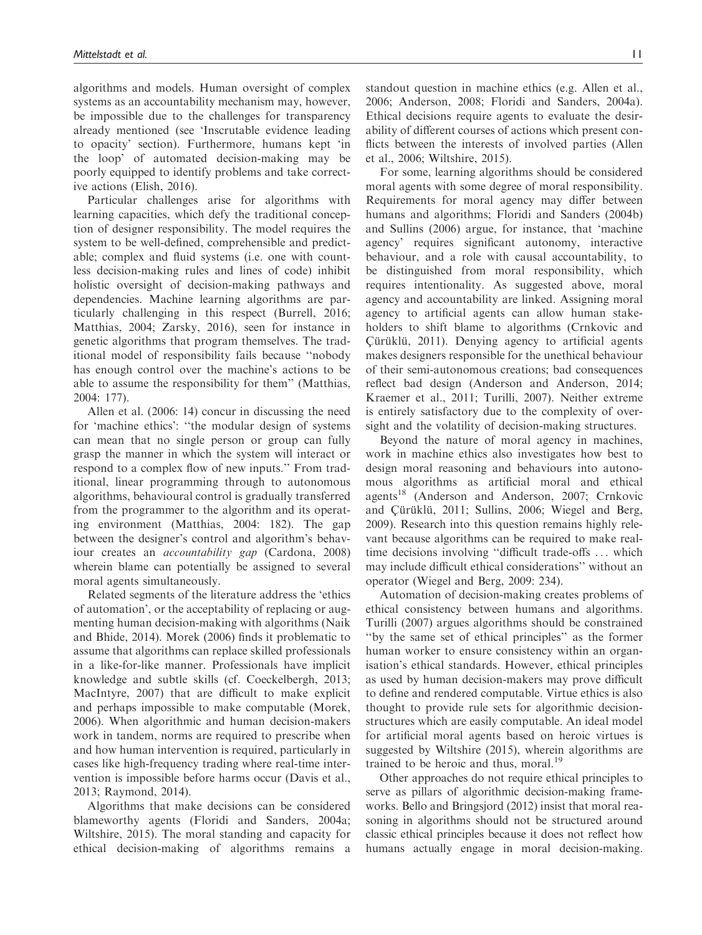algorithms and models. Human oversight of complex systems as an accountability mechanism may, however, be impossible due to the challenges for transparency already mentioned (see 'Inscrutable evidence leading to opacity' section). Furthermore, humans kept 'in the loop' of automated decision-making may be poorly equipped to identify problems and take corrective actions (Elish, 2016).

Particular challenges arise for algorithms with learning capacities, which defy the traditional conception of designer responsibility. The model requires the system to be well-defined, comprehensible and predictable; complex and fluid systems (i.e. one with countless decision-making rules and lines of code) inhibit holistic oversight of decision-making pathways and dependencies. Machine learning algorithms are particularly challenging in this respect (Burrell, 2016; Matthias, 2004; Zarsky, 2016), seen for instance in genetic algorithms that program themselves. The traditional model of responsibility fails because ''nobody has enough control over the machine's actions to be able to assume the responsibility for them'' (Matthias, 2004: 177).

Allen et al. (2006: 14) concur in discussing the need for 'machine ethics': ''the modular design of systems can mean that no single person or group can fully grasp the manner in which the system will interact or respond to a complex flow of new inputs.'' From traditional, linear programming through to autonomous algorithms, behavioural control is gradually transferred from the programmer to the algorithm and its operating environment (Matthias, 2004: 182). The gap between the designer's control and algorithm's behaviour creates an accountability gap (Cardona, 2008) wherein blame can potentially be assigned to several moral agents simultaneously.

Related segments of the literature address the 'ethics of automation', or the acceptability of replacing or augmenting human decision-making with algorithms (Naik and Bhide, 2014). Morek (2006) finds it problematic to assume that algorithms can replace skilled professionals in a like-for-like manner. Professionals have implicit knowledge and subtle skills (cf. Coeckelbergh, 2013; MacIntyre, 2007) that are difficult to make explicit and perhaps impossible to make computable (Morek, 2006). When algorithmic and human decision-makers work in tandem, norms are required to prescribe when and how human intervention is required, particularly in cases like high-frequency trading where real-time intervention is impossible before harms occur (Davis et al., 2013; Raymond, 2014).

Algorithms that make decisions can be considered blameworthy agents (Floridi and Sanders, 2004a; Wiltshire, 2015). The moral standing and capacity for ethical decision-making of algorithms remains a standout question in machine ethics (e.g. Allen et al., 2006; Anderson, 2008; Floridi and Sanders, 2004a). Ethical decisions require agents to evaluate the desirability of different courses of actions which present conflicts between the interests of involved parties (Allen et al., 2006; Wiltshire, 2015).

For some, learning algorithms should be considered moral agents with some degree of moral responsibility. Requirements for moral agency may differ between humans and algorithms; Floridi and Sanders (2004b) and Sullins (2006) argue, for instance, that 'machine agency' requires significant autonomy, interactive behaviour, and a role with causal accountability, to be distinguished from moral responsibility, which requires intentionality. As suggested above, moral agency and accountability are linked. Assigning moral agency to artificial agents can allow human stakeholders to shift blame to algorithms (Crnkovic and Cürüklü, 2011). Denying agency to artificial agents makes designers responsible for the unethical behaviour of their semi-autonomous creations; bad consequences reflect bad design (Anderson and Anderson, 2014; Kraemer et al., 2011; Turilli, 2007). Neither extreme is entirely satisfactory due to the complexity of oversight and the volatility of decision-making structures.

Beyond the nature of moral agency in machines, work in machine ethics also investigates how best to design moral reasoning and behaviours into autonomous algorithms as artificial moral and ethical agents<sup>18</sup> (Anderson and Anderson, 2007; Crnkovic and Çürüklü, 2011; Sullins, 2006; Wiegel and Berg, 2009). Research into this question remains highly relevant because algorithms can be required to make realtime decisions involving ''difficult trade-offs ... which may include difficult ethical considerations'' without an operator (Wiegel and Berg, 2009: 234).

Automation of decision-making creates problems of ethical consistency between humans and algorithms. Turilli (2007) argues algorithms should be constrained ''by the same set of ethical principles'' as the former human worker to ensure consistency within an organisation's ethical standards. However, ethical principles as used by human decision-makers may prove difficult to define and rendered computable. Virtue ethics is also thought to provide rule sets for algorithmic decisionstructures which are easily computable. An ideal model for artificial moral agents based on heroic virtues is suggested by Wiltshire (2015), wherein algorithms are trained to be heroic and thus, moral.<sup>19</sup>

Other approaches do not require ethical principles to serve as pillars of algorithmic decision-making frameworks. Bello and Bringsjord (2012) insist that moral reasoning in algorithms should not be structured around classic ethical principles because it does not reflect how humans actually engage in moral decision-making.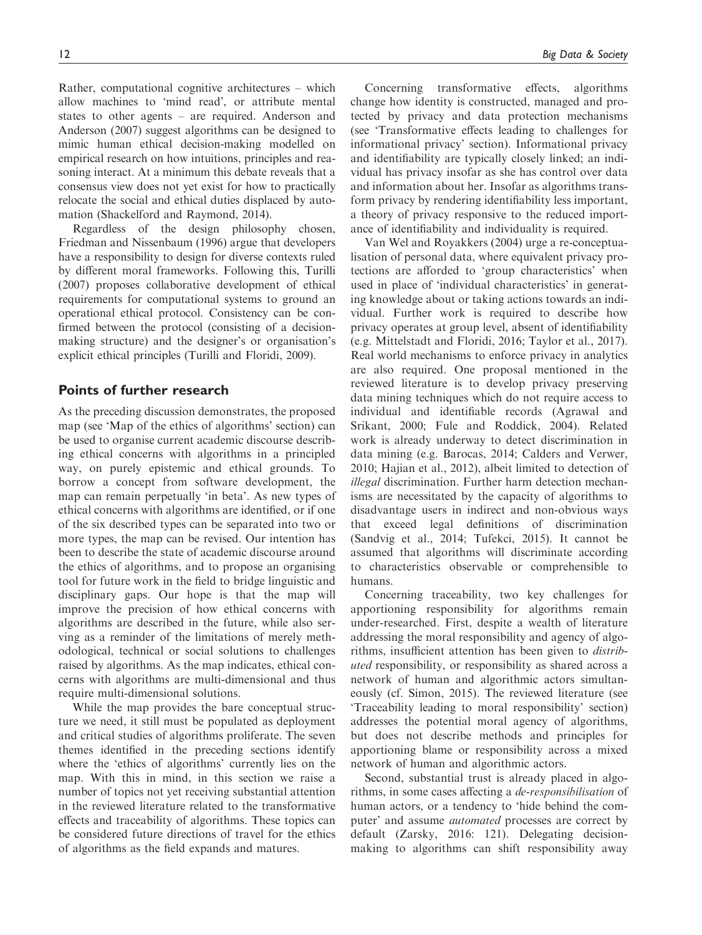Rather, computational cognitive architectures – which allow machines to 'mind read', or attribute mental states to other agents – are required. Anderson and Anderson (2007) suggest algorithms can be designed to mimic human ethical decision-making modelled on empirical research on how intuitions, principles and reasoning interact. At a minimum this debate reveals that a consensus view does not yet exist for how to practically relocate the social and ethical duties displaced by automation (Shackelford and Raymond, 2014).

Regardless of the design philosophy chosen, Friedman and Nissenbaum (1996) argue that developers have a responsibility to design for diverse contexts ruled by different moral frameworks. Following this, Turilli (2007) proposes collaborative development of ethical requirements for computational systems to ground an operational ethical protocol. Consistency can be confirmed between the protocol (consisting of a decisionmaking structure) and the designer's or organisation's explicit ethical principles (Turilli and Floridi, 2009).

## Points of further research

As the preceding discussion demonstrates, the proposed map (see 'Map of the ethics of algorithms' section) can be used to organise current academic discourse describing ethical concerns with algorithms in a principled way, on purely epistemic and ethical grounds. To borrow a concept from software development, the map can remain perpetually 'in beta'. As new types of ethical concerns with algorithms are identified, or if one of the six described types can be separated into two or more types, the map can be revised. Our intention has been to describe the state of academic discourse around the ethics of algorithms, and to propose an organising tool for future work in the field to bridge linguistic and disciplinary gaps. Our hope is that the map will improve the precision of how ethical concerns with algorithms are described in the future, while also serving as a reminder of the limitations of merely methodological, technical or social solutions to challenges raised by algorithms. As the map indicates, ethical concerns with algorithms are multi-dimensional and thus require multi-dimensional solutions.

While the map provides the bare conceptual structure we need, it still must be populated as deployment and critical studies of algorithms proliferate. The seven themes identified in the preceding sections identify where the 'ethics of algorithms' currently lies on the map. With this in mind, in this section we raise a number of topics not yet receiving substantial attention in the reviewed literature related to the transformative effects and traceability of algorithms. These topics can be considered future directions of travel for the ethics of algorithms as the field expands and matures.

Concerning transformative effects, algorithms change how identity is constructed, managed and protected by privacy and data protection mechanisms (see 'Transformative effects leading to challenges for informational privacy' section). Informational privacy and identifiability are typically closely linked; an individual has privacy insofar as she has control over data and information about her. Insofar as algorithms transform privacy by rendering identifiability less important, a theory of privacy responsive to the reduced importance of identifiability and individuality is required.

Van Wel and Royakkers (2004) urge a re-conceptualisation of personal data, where equivalent privacy protections are afforded to 'group characteristics' when used in place of 'individual characteristics' in generating knowledge about or taking actions towards an individual. Further work is required to describe how privacy operates at group level, absent of identifiability (e.g. Mittelstadt and Floridi, 2016; Taylor et al., 2017). Real world mechanisms to enforce privacy in analytics are also required. One proposal mentioned in the reviewed literature is to develop privacy preserving data mining techniques which do not require access to individual and identifiable records (Agrawal and Srikant, 2000; Fule and Roddick, 2004). Related work is already underway to detect discrimination in data mining (e.g. Barocas, 2014; Calders and Verwer, 2010; Hajian et al., 2012), albeit limited to detection of illegal discrimination. Further harm detection mechanisms are necessitated by the capacity of algorithms to disadvantage users in indirect and non-obvious ways that exceed legal definitions of discrimination (Sandvig et al., 2014; Tufekci, 2015). It cannot be assumed that algorithms will discriminate according to characteristics observable or comprehensible to humans.

Concerning traceability, two key challenges for apportioning responsibility for algorithms remain under-researched. First, despite a wealth of literature addressing the moral responsibility and agency of algorithms, insufficient attention has been given to distributed responsibility, or responsibility as shared across a network of human and algorithmic actors simultaneously (cf. Simon, 2015). The reviewed literature (see 'Traceability leading to moral responsibility' section) addresses the potential moral agency of algorithms, but does not describe methods and principles for apportioning blame or responsibility across a mixed network of human and algorithmic actors.

Second, substantial trust is already placed in algorithms, in some cases affecting a de-responsibilisation of human actors, or a tendency to 'hide behind the computer' and assume automated processes are correct by default (Zarsky, 2016: 121). Delegating decisionmaking to algorithms can shift responsibility away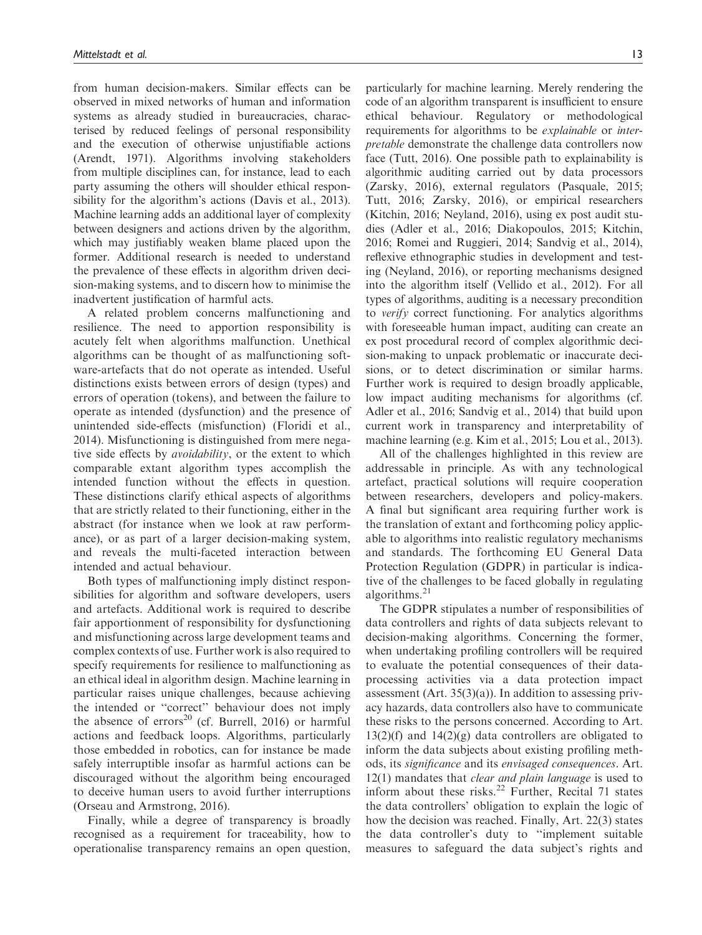from human decision-makers. Similar effects can be observed in mixed networks of human and information systems as already studied in bureaucracies, characterised by reduced feelings of personal responsibility and the execution of otherwise unjustifiable actions (Arendt, 1971). Algorithms involving stakeholders from multiple disciplines can, for instance, lead to each party assuming the others will shoulder ethical responsibility for the algorithm's actions (Davis et al., 2013). Machine learning adds an additional layer of complexity between designers and actions driven by the algorithm, which may justifiably weaken blame placed upon the former. Additional research is needed to understand the prevalence of these effects in algorithm driven decision-making systems, and to discern how to minimise the inadvertent justification of harmful acts.

A related problem concerns malfunctioning and resilience. The need to apportion responsibility is acutely felt when algorithms malfunction. Unethical algorithms can be thought of as malfunctioning software-artefacts that do not operate as intended. Useful distinctions exists between errors of design (types) and errors of operation (tokens), and between the failure to operate as intended (dysfunction) and the presence of unintended side-effects (misfunction) (Floridi et al., 2014). Misfunctioning is distinguished from mere negative side effects by *avoidability*, or the extent to which comparable extant algorithm types accomplish the intended function without the effects in question. These distinctions clarify ethical aspects of algorithms that are strictly related to their functioning, either in the abstract (for instance when we look at raw performance), or as part of a larger decision-making system, and reveals the multi-faceted interaction between intended and actual behaviour.

Both types of malfunctioning imply distinct responsibilities for algorithm and software developers, users and artefacts. Additional work is required to describe fair apportionment of responsibility for dysfunctioning and misfunctioning across large development teams and complex contexts of use. Further work is also required to specify requirements for resilience to malfunctioning as an ethical ideal in algorithm design. Machine learning in particular raises unique challenges, because achieving the intended or ''correct'' behaviour does not imply the absence of errors<sup>20</sup> (cf. Burrell, 2016) or harmful actions and feedback loops. Algorithms, particularly those embedded in robotics, can for instance be made safely interruptible insofar as harmful actions can be discouraged without the algorithm being encouraged to deceive human users to avoid further interruptions (Orseau and Armstrong, 2016).

Finally, while a degree of transparency is broadly recognised as a requirement for traceability, how to operationalise transparency remains an open question, particularly for machine learning. Merely rendering the code of an algorithm transparent is insufficient to ensure ethical behaviour. Regulatory or methodological requirements for algorithms to be explainable or interpretable demonstrate the challenge data controllers now face (Tutt, 2016). One possible path to explainability is algorithmic auditing carried out by data processors (Zarsky, 2016), external regulators (Pasquale, 2015; Tutt, 2016; Zarsky, 2016), or empirical researchers (Kitchin, 2016; Neyland, 2016), using ex post audit studies (Adler et al., 2016; Diakopoulos, 2015; Kitchin, 2016; Romei and Ruggieri, 2014; Sandvig et al., 2014), reflexive ethnographic studies in development and testing (Neyland, 2016), or reporting mechanisms designed into the algorithm itself (Vellido et al., 2012). For all types of algorithms, auditing is a necessary precondition to verify correct functioning. For analytics algorithms with foreseeable human impact, auditing can create an ex post procedural record of complex algorithmic decision-making to unpack problematic or inaccurate decisions, or to detect discrimination or similar harms. Further work is required to design broadly applicable, low impact auditing mechanisms for algorithms (cf. Adler et al., 2016; Sandvig et al., 2014) that build upon current work in transparency and interpretability of machine learning (e.g. Kim et al., 2015; Lou et al., 2013).

All of the challenges highlighted in this review are addressable in principle. As with any technological artefact, practical solutions will require cooperation between researchers, developers and policy-makers. A final but significant area requiring further work is the translation of extant and forthcoming policy applicable to algorithms into realistic regulatory mechanisms and standards. The forthcoming EU General Data Protection Regulation (GDPR) in particular is indicative of the challenges to be faced globally in regulating algorithms. $21$ 

The GDPR stipulates a number of responsibilities of data controllers and rights of data subjects relevant to decision-making algorithms. Concerning the former, when undertaking profiling controllers will be required to evaluate the potential consequences of their dataprocessing activities via a data protection impact assessment (Art.  $35(3)(a)$ ). In addition to assessing privacy hazards, data controllers also have to communicate these risks to the persons concerned. According to Art.  $13(2)(f)$  and  $14(2)(g)$  data controllers are obligated to inform the data subjects about existing profiling methods, its significance and its envisaged consequences. Art. 12(1) mandates that clear and plain language is used to inform about these risks. $22$  Further, Recital 71 states the data controllers' obligation to explain the logic of how the decision was reached. Finally, Art. 22(3) states the data controller's duty to ''implement suitable measures to safeguard the data subject's rights and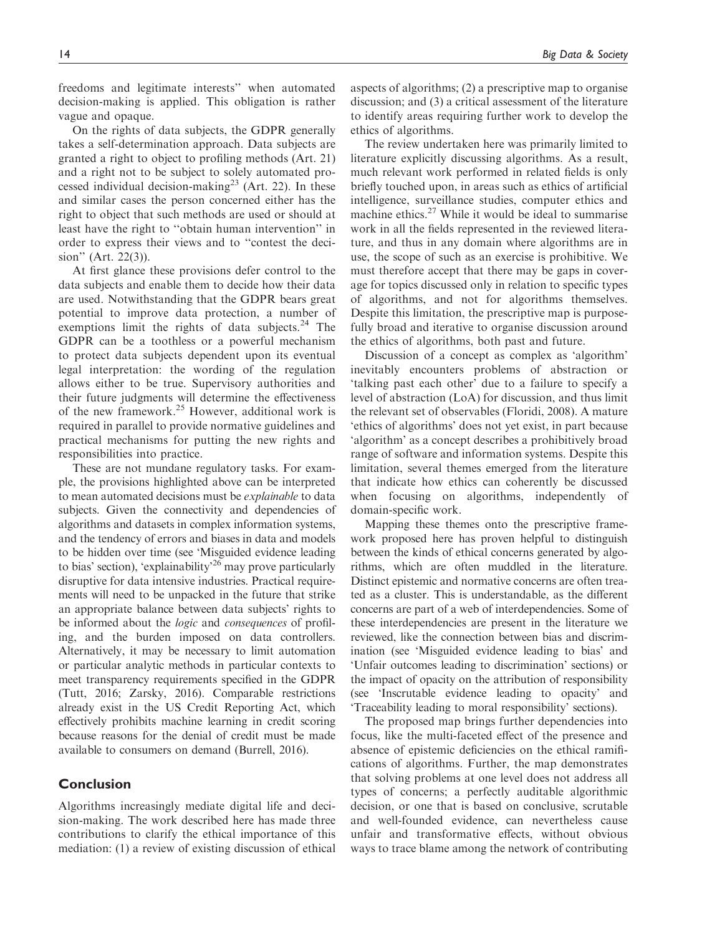freedoms and legitimate interests'' when automated decision-making is applied. This obligation is rather vague and opaque.

On the rights of data subjects, the GDPR generally takes a self-determination approach. Data subjects are granted a right to object to profiling methods (Art. 21) and a right not to be subject to solely automated processed individual decision-making<sup>23</sup> (Art. 22). In these and similar cases the person concerned either has the right to object that such methods are used or should at least have the right to ''obtain human intervention'' in order to express their views and to ''contest the decision'' (Art. 22(3)).

At first glance these provisions defer control to the data subjects and enable them to decide how their data are used. Notwithstanding that the GDPR bears great potential to improve data protection, a number of exemptions limit the rights of data subjects. $^{24}$  The GDPR can be a toothless or a powerful mechanism to protect data subjects dependent upon its eventual legal interpretation: the wording of the regulation allows either to be true. Supervisory authorities and their future judgments will determine the effectiveness of the new framework.<sup>25</sup> However, additional work is required in parallel to provide normative guidelines and practical mechanisms for putting the new rights and responsibilities into practice.

These are not mundane regulatory tasks. For example, the provisions highlighted above can be interpreted to mean automated decisions must be explainable to data subjects. Given the connectivity and dependencies of algorithms and datasets in complex information systems, and the tendency of errors and biases in data and models to be hidden over time (see 'Misguided evidence leading to bias' section), 'explainability'<sup>26</sup> may prove particularly disruptive for data intensive industries. Practical requirements will need to be unpacked in the future that strike an appropriate balance between data subjects' rights to be informed about the logic and consequences of profiling, and the burden imposed on data controllers. Alternatively, it may be necessary to limit automation or particular analytic methods in particular contexts to meet transparency requirements specified in the GDPR (Tutt, 2016; Zarsky, 2016). Comparable restrictions already exist in the US Credit Reporting Act, which effectively prohibits machine learning in credit scoring because reasons for the denial of credit must be made available to consumers on demand (Burrell, 2016).

## Conclusion

Algorithms increasingly mediate digital life and decision-making. The work described here has made three contributions to clarify the ethical importance of this mediation: (1) a review of existing discussion of ethical

aspects of algorithms; (2) a prescriptive map to organise discussion; and (3) a critical assessment of the literature to identify areas requiring further work to develop the ethics of algorithms.

The review undertaken here was primarily limited to literature explicitly discussing algorithms. As a result, much relevant work performed in related fields is only briefly touched upon, in areas such as ethics of artificial intelligence, surveillance studies, computer ethics and machine ethics. $27$  While it would be ideal to summarise work in all the fields represented in the reviewed literature, and thus in any domain where algorithms are in use, the scope of such as an exercise is prohibitive. We must therefore accept that there may be gaps in coverage for topics discussed only in relation to specific types of algorithms, and not for algorithms themselves. Despite this limitation, the prescriptive map is purposefully broad and iterative to organise discussion around the ethics of algorithms, both past and future.

Discussion of a concept as complex as 'algorithm' inevitably encounters problems of abstraction or 'talking past each other' due to a failure to specify a level of abstraction (LoA) for discussion, and thus limit the relevant set of observables (Floridi, 2008). A mature 'ethics of algorithms' does not yet exist, in part because 'algorithm' as a concept describes a prohibitively broad range of software and information systems. Despite this limitation, several themes emerged from the literature that indicate how ethics can coherently be discussed when focusing on algorithms, independently of domain-specific work.

Mapping these themes onto the prescriptive framework proposed here has proven helpful to distinguish between the kinds of ethical concerns generated by algorithms, which are often muddled in the literature. Distinct epistemic and normative concerns are often treated as a cluster. This is understandable, as the different concerns are part of a web of interdependencies. Some of these interdependencies are present in the literature we reviewed, like the connection between bias and discrimination (see 'Misguided evidence leading to bias' and 'Unfair outcomes leading to discrimination' sections) or the impact of opacity on the attribution of responsibility (see 'Inscrutable evidence leading to opacity' and 'Traceability leading to moral responsibility' sections).

The proposed map brings further dependencies into focus, like the multi-faceted effect of the presence and absence of epistemic deficiencies on the ethical ramifications of algorithms. Further, the map demonstrates that solving problems at one level does not address all types of concerns; a perfectly auditable algorithmic decision, or one that is based on conclusive, scrutable and well-founded evidence, can nevertheless cause unfair and transformative effects, without obvious ways to trace blame among the network of contributing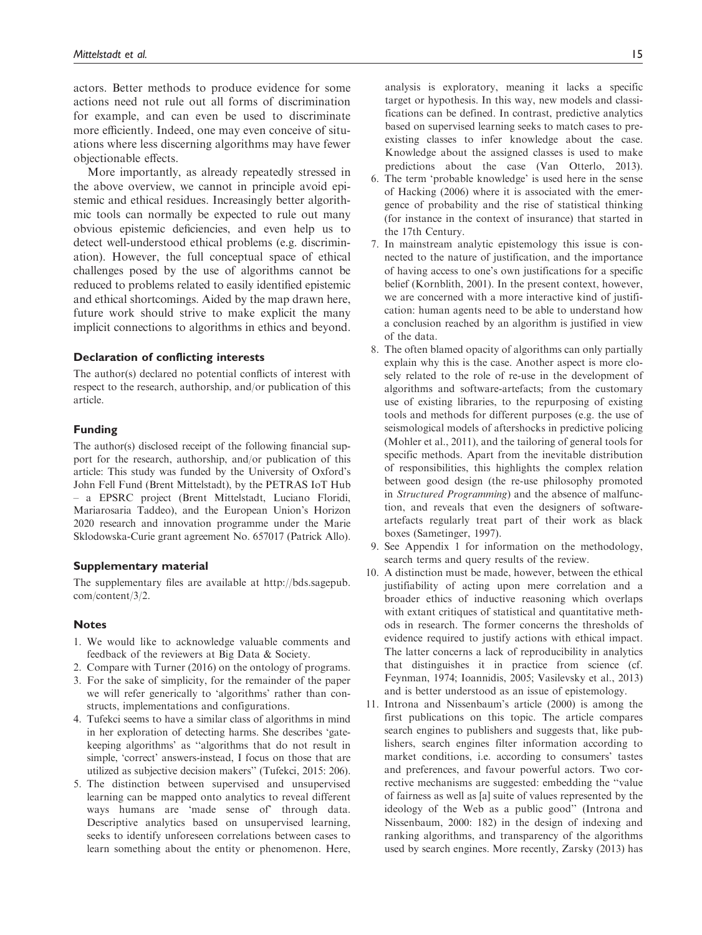actors. Better methods to produce evidence for some actions need not rule out all forms of discrimination for example, and can even be used to discriminate more efficiently. Indeed, one may even conceive of situations where less discerning algorithms may have fewer objectionable effects.

More importantly, as already repeatedly stressed in the above overview, we cannot in principle avoid epistemic and ethical residues. Increasingly better algorithmic tools can normally be expected to rule out many obvious epistemic deficiencies, and even help us to detect well-understood ethical problems (e.g. discrimination). However, the full conceptual space of ethical challenges posed by the use of algorithms cannot be reduced to problems related to easily identified epistemic and ethical shortcomings. Aided by the map drawn here, future work should strive to make explicit the many implicit connections to algorithms in ethics and beyond.

#### Declaration of conflicting interests

The author(s) declared no potential conflicts of interest with respect to the research, authorship, and/or publication of this article.

#### Funding

The author(s) disclosed receipt of the following financial support for the research, authorship, and/or publication of this article: This study was funded by the University of Oxford's John Fell Fund (Brent Mittelstadt), by the PETRAS IoT Hub – a EPSRC project (Brent Mittelstadt, Luciano Floridi, Mariarosaria Taddeo), and the European Union's Horizon 2020 research and innovation programme under the Marie Sklodowska-Curie grant agreement No. 657017 (Patrick Allo).

#### Supplementary material

The supplementary files are available at [http://bds.sagepub.](http://bds.sagepub.com/content/3/2) [com/content/3/2](http://bds.sagepub.com/content/3/2).

#### **Notes**

- 1. We would like to acknowledge valuable comments and feedback of the reviewers at Big Data & Society.
- 2. Compare with Turner (2016) on the ontology of programs.
- 3. For the sake of simplicity, for the remainder of the paper we will refer generically to 'algorithms' rather than constructs, implementations and configurations.
- 4. Tufekci seems to have a similar class of algorithms in mind in her exploration of detecting harms. She describes 'gatekeeping algorithms' as ''algorithms that do not result in simple, 'correct' answers-instead, I focus on those that are utilized as subjective decision makers'' (Tufekci, 2015: 206).
- 5. The distinction between supervised and unsupervised learning can be mapped onto analytics to reveal different ways humans are 'made sense of' through data. Descriptive analytics based on unsupervised learning, seeks to identify unforeseen correlations between cases to learn something about the entity or phenomenon. Here,

analysis is exploratory, meaning it lacks a specific target or hypothesis. In this way, new models and classifications can be defined. In contrast, predictive analytics based on supervised learning seeks to match cases to preexisting classes to infer knowledge about the case. Knowledge about the assigned classes is used to make predictions about the case (Van Otterlo, 2013).

- 6. The term 'probable knowledge' is used here in the sense of Hacking (2006) where it is associated with the emergence of probability and the rise of statistical thinking (for instance in the context of insurance) that started in the 17th Century.
- 7. In mainstream analytic epistemology this issue is connected to the nature of justification, and the importance of having access to one's own justifications for a specific belief (Kornblith, 2001). In the present context, however, we are concerned with a more interactive kind of justification: human agents need to be able to understand how a conclusion reached by an algorithm is justified in view of the data.
- 8. The often blamed opacity of algorithms can only partially explain why this is the case. Another aspect is more closely related to the role of re-use in the development of algorithms and software-artefacts; from the customary use of existing libraries, to the repurposing of existing tools and methods for different purposes (e.g. the use of seismological models of aftershocks in predictive policing (Mohler et al., 2011), and the tailoring of general tools for specific methods. Apart from the inevitable distribution of responsibilities, this highlights the complex relation between good design (the re-use philosophy promoted in Structured Programming) and the absence of malfunction, and reveals that even the designers of softwareartefacts regularly treat part of their work as black boxes (Sametinger, 1997).
- 9. See Appendix 1 for information on the methodology, search terms and query results of the review.
- 10. A distinction must be made, however, between the ethical justifiability of acting upon mere correlation and a broader ethics of inductive reasoning which overlaps with extant critiques of statistical and quantitative methods in research. The former concerns the thresholds of evidence required to justify actions with ethical impact. The latter concerns a lack of reproducibility in analytics that distinguishes it in practice from science (cf. Feynman, 1974; Ioannidis, 2005; Vasilevsky et al., 2013) and is better understood as an issue of epistemology.
- 11. Introna and Nissenbaum's article (2000) is among the first publications on this topic. The article compares search engines to publishers and suggests that, like publishers, search engines filter information according to market conditions, i.e. according to consumers' tastes and preferences, and favour powerful actors. Two corrective mechanisms are suggested: embedding the ''value of fairness as well as [a] suite of values represented by the ideology of the Web as a public good'' (Introna and Nissenbaum, 2000: 182) in the design of indexing and ranking algorithms, and transparency of the algorithms used by search engines. More recently, Zarsky (2013) has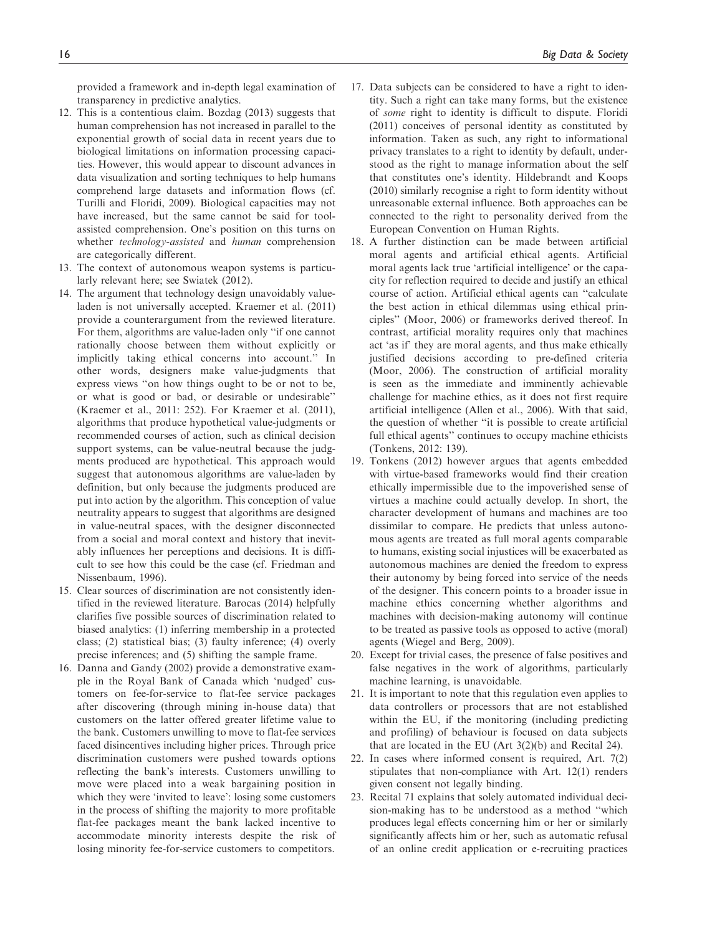provided a framework and in-depth legal examination of transparency in predictive analytics.

- 12. This is a contentious claim. Bozdag (2013) suggests that human comprehension has not increased in parallel to the exponential growth of social data in recent years due to biological limitations on information processing capacities. However, this would appear to discount advances in data visualization and sorting techniques to help humans comprehend large datasets and information flows (cf. Turilli and Floridi, 2009). Biological capacities may not have increased, but the same cannot be said for toolassisted comprehension. One's position on this turns on whether *technology-assisted* and *human* comprehension are categorically different.
- 13. The context of autonomous weapon systems is particularly relevant here; see Swiatek (2012).
- 14. The argument that technology design unavoidably valueladen is not universally accepted. Kraemer et al. (2011) provide a counterargument from the reviewed literature. For them, algorithms are value-laden only ''if one cannot rationally choose between them without explicitly or implicitly taking ethical concerns into account.'' In other words, designers make value-judgments that express views ''on how things ought to be or not to be, or what is good or bad, or desirable or undesirable'' (Kraemer et al., 2011: 252). For Kraemer et al. (2011), algorithms that produce hypothetical value-judgments or recommended courses of action, such as clinical decision support systems, can be value-neutral because the judgments produced are hypothetical. This approach would suggest that autonomous algorithms are value-laden by definition, but only because the judgments produced are put into action by the algorithm. This conception of value neutrality appears to suggest that algorithms are designed in value-neutral spaces, with the designer disconnected from a social and moral context and history that inevitably influences her perceptions and decisions. It is difficult to see how this could be the case (cf. Friedman and Nissenbaum, 1996).
- 15. Clear sources of discrimination are not consistently identified in the reviewed literature. Barocas (2014) helpfully clarifies five possible sources of discrimination related to biased analytics: (1) inferring membership in a protected class; (2) statistical bias; (3) faulty inference; (4) overly precise inferences; and (5) shifting the sample frame.
- 16. Danna and Gandy (2002) provide a demonstrative example in the Royal Bank of Canada which 'nudged' customers on fee-for-service to flat-fee service packages after discovering (through mining in-house data) that customers on the latter offered greater lifetime value to the bank. Customers unwilling to move to flat-fee services faced disincentives including higher prices. Through price discrimination customers were pushed towards options reflecting the bank's interests. Customers unwilling to move were placed into a weak bargaining position in which they were 'invited to leave': losing some customers in the process of shifting the majority to more profitable flat-fee packages meant the bank lacked incentive to accommodate minority interests despite the risk of losing minority fee-for-service customers to competitors.
- 17. Data subjects can be considered to have a right to identity. Such a right can take many forms, but the existence of some right to identity is difficult to dispute. Floridi (2011) conceives of personal identity as constituted by information. Taken as such, any right to informational privacy translates to a right to identity by default, understood as the right to manage information about the self that constitutes one's identity. Hildebrandt and Koops (2010) similarly recognise a right to form identity without unreasonable external influence. Both approaches can be connected to the right to personality derived from the European Convention on Human Rights.
- 18. A further distinction can be made between artificial moral agents and artificial ethical agents. Artificial moral agents lack true 'artificial intelligence' or the capacity for reflection required to decide and justify an ethical course of action. Artificial ethical agents can ''calculate the best action in ethical dilemmas using ethical principles'' (Moor, 2006) or frameworks derived thereof. In contrast, artificial morality requires only that machines act 'as if' they are moral agents, and thus make ethically justified decisions according to pre-defined criteria (Moor, 2006). The construction of artificial morality is seen as the immediate and imminently achievable challenge for machine ethics, as it does not first require artificial intelligence (Allen et al., 2006). With that said, the question of whether ''it is possible to create artificial full ethical agents'' continues to occupy machine ethicists (Tonkens, 2012: 139).
- 19. Tonkens (2012) however argues that agents embedded with virtue-based frameworks would find their creation ethically impermissible due to the impoverished sense of virtues a machine could actually develop. In short, the character development of humans and machines are too dissimilar to compare. He predicts that unless autonomous agents are treated as full moral agents comparable to humans, existing social injustices will be exacerbated as autonomous machines are denied the freedom to express their autonomy by being forced into service of the needs of the designer. This concern points to a broader issue in machine ethics concerning whether algorithms and machines with decision-making autonomy will continue to be treated as passive tools as opposed to active (moral) agents (Wiegel and Berg, 2009).
- 20. Except for trivial cases, the presence of false positives and false negatives in the work of algorithms, particularly machine learning, is unavoidable.
- 21. It is important to note that this regulation even applies to data controllers or processors that are not established within the EU, if the monitoring (including predicting and profiling) of behaviour is focused on data subjects that are located in the EU (Art 3(2)(b) and Recital 24).
- 22. In cases where informed consent is required, Art. 7(2) stipulates that non-compliance with Art. 12(1) renders given consent not legally binding.
- 23. Recital 71 explains that solely automated individual decision-making has to be understood as a method ''which produces legal effects concerning him or her or similarly significantly affects him or her, such as automatic refusal of an online credit application or e-recruiting practices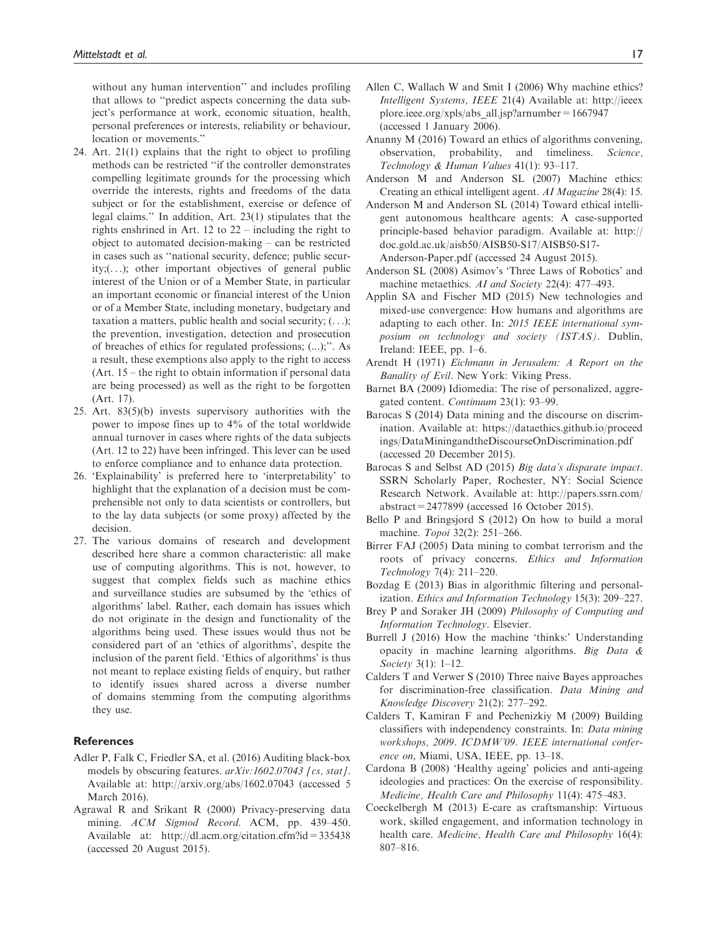without any human intervention'' and includes profiling that allows to ''predict aspects concerning the data subject's performance at work, economic situation, health, personal preferences or interests, reliability or behaviour, location or movements.''

- 24. Art. 21(1) explains that the right to object to profiling methods can be restricted ''if the controller demonstrates compelling legitimate grounds for the processing which override the interests, rights and freedoms of the data subject or for the establishment, exercise or defence of legal claims.'' In addition, Art. 23(1) stipulates that the rights enshrined in Art. 12 to 22 – including the right to object to automated decision-making – can be restricted in cases such as ''national security, defence; public security;(...); other important objectives of general public interest of the Union or of a Member State, in particular an important economic or financial interest of the Union or of a Member State, including monetary, budgetary and taxation a matters, public health and social security; (...); the prevention, investigation, detection and prosecution of breaches of ethics for regulated professions; (...);''. As a result, these exemptions also apply to the right to access (Art. 15 – the right to obtain information if personal data are being processed) as well as the right to be forgotten (Art. 17).
- 25. Art. 83(5)(b) invests supervisory authorities with the power to impose fines up to 4% of the total worldwide annual turnover in cases where rights of the data subjects (Art. 12 to 22) have been infringed. This lever can be used to enforce compliance and to enhance data protection.
- 26. 'Explainability' is preferred here to 'interpretability' to highlight that the explanation of a decision must be comprehensible not only to data scientists or controllers, but to the lay data subjects (or some proxy) affected by the decision.
- 27. The various domains of research and development described here share a common characteristic: all make use of computing algorithms. This is not, however, to suggest that complex fields such as machine ethics and surveillance studies are subsumed by the 'ethics of algorithms' label. Rather, each domain has issues which do not originate in the design and functionality of the algorithms being used. These issues would thus not be considered part of an 'ethics of algorithms', despite the inclusion of the parent field. 'Ethics of algorithms' is thus not meant to replace existing fields of enquiry, but rather to identify issues shared across a diverse number of domains stemming from the computing algorithms they use.

### **References**

- Adler P, Falk C, Friedler SA, et al. (2016) Auditing black-box models by obscuring features. arXiv:1602.07043 [cs, stat]. Available at:<http://arxiv.org/abs/1602.07043> (accessed 5 March 2016).
- Agrawal R and Srikant R (2000) Privacy-preserving data mining. ACM Sigmod Record. ACM, pp. 439–450. Available at: [http://dl.acm.org/citation.cfm?id=335438](http://www.dl.acm.org/citation.cfm?id=335438) (accessed 20 August 2015).
- Allen C, Wallach W and Smit I (2006) Why machine ethics? Intelligent Systems, IEEE 21(4) Available at: [http://ieeex](http://ieeexplore.ieee.org/xpls/abs_all.jsp?arnumber=1667947) [plore.ieee.org/xpls/abs\\_all.jsp?arnumber=1667947](http://ieeexplore.ieee.org/xpls/abs_all.jsp?arnumber=1667947) (accessed 1 January 2006).
- Ananny M (2016) Toward an ethics of algorithms convening, observation, probability, and timeliness. Science, Technology & Human Values 41(1): 93–117.
- Anderson M and Anderson SL (2007) Machine ethics: Creating an ethical intelligent agent. AI Magazine 28(4): 15.
- Anderson M and Anderson SL (2014) Toward ethical intelligent autonomous healthcare agents: A case-supported principle-based behavior paradigm. Available at: [http://](http://doc.gold.ac.uk/aisb50/AISB50-S17/AISB50-S17-Anderson-Paper.pdf) [doc.gold.ac.uk/aisb50/AISB50-S17/AISB50-S17-](http://doc.gold.ac.uk/aisb50/AISB50-S17/AISB50-S17-Anderson-Paper.pdf)

[Anderson-Paper.pdf](http://doc.gold.ac.uk/aisb50/AISB50-S17/AISB50-S17-Anderson-Paper.pdf) (accessed 24 August 2015).

- Anderson SL (2008) Asimov's 'Three Laws of Robotics' and machine metaethics. AI and Society 22(4): 477-493.
- Applin SA and Fischer MD (2015) New technologies and mixed-use convergence: How humans and algorithms are adapting to each other. In: 2015 IEEE international symposium on technology and society (ISTAS). Dublin, Ireland: IEEE, pp. 1–6.
- Arendt H (1971) Eichmann in Jerusalem: A Report on the Banality of Evil. New York: Viking Press.
- Barnet BA (2009) Idiomedia: The rise of personalized, aggregated content. Continuum 23(1): 93–99.
- Barocas S (2014) Data mining and the discourse on discrimination. Available at: [https://dataethics.github.io/proceed](https://www.dataethics.github.io/proceedings/DataMiningandtheDiscourseOnDiscrimination.pdf) [ings/DataMiningandtheDiscourseOnDiscrimination.pdf](https://www.dataethics.github.io/proceedings/DataMiningandtheDiscourseOnDiscrimination.pdf) (accessed 20 December 2015).
- Barocas S and Selbst AD (2015) Big data's disparate impact. SSRN Scholarly Paper, Rochester, NY: Social Science Research Network. Available at: [http://papers.ssrn.com/](http://www.papers.ssrn.com/abstract=2477899) abstract =  $2477899$  (accessed 16 October 2015).
- Bello P and Bringsjord S (2012) On how to build a moral machine. Topoi 32(2): 251–266.
- Birrer FAJ (2005) Data mining to combat terrorism and the roots of privacy concerns. Ethics and Information Technology 7(4): 211–220.
- Bozdag E (2013) Bias in algorithmic filtering and personalization. Ethics and Information Technology 15(3): 209–227.
- Brey P and Soraker JH (2009) Philosophy of Computing and Information Technology. Elsevier.
- Burrell J (2016) How the machine 'thinks:' Understanding opacity in machine learning algorithms. Big Data & Society 3(1): 1–12.
- Calders T and Verwer S (2010) Three naive Bayes approaches for discrimination-free classification. Data Mining and Knowledge Discovery 21(2): 277–292.
- Calders T, Kamiran F and Pechenizkiy M (2009) Building classifiers with independency constraints. In: Data mining workshops, 2009. ICDMW'09. IEEE international conference on, Miami, USA, IEEE, pp. 13–18.
- Cardona B (2008) 'Healthy ageing' policies and anti-ageing ideologies and practices: On the exercise of responsibility. Medicine, Health Care and Philosophy 11(4): 475–483.
- Coeckelbergh M (2013) E-care as craftsmanship: Virtuous work, skilled engagement, and information technology in health care. Medicine, Health Care and Philosophy 16(4): 807–816.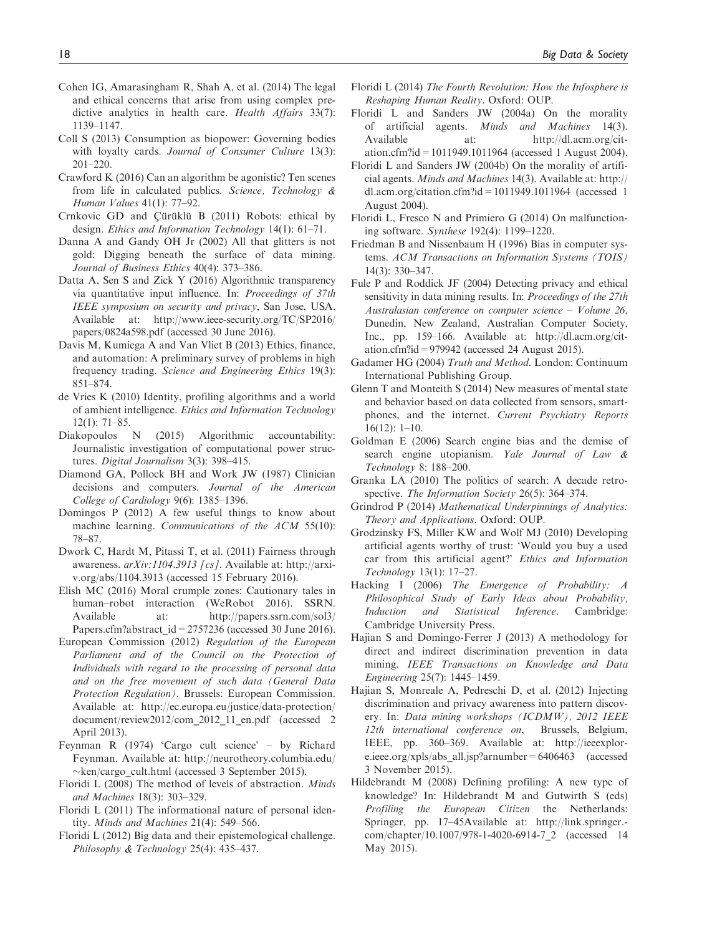- Cohen IG, Amarasingham R, Shah A, et al. (2014) The legal and ethical concerns that arise from using complex predictive analytics in health care. Health Affairs 33(7): 1139–1147.
- Coll S (2013) Consumption as biopower: Governing bodies with loyalty cards. Journal of Consumer Culture 13(3): 201–220.
- Crawford K (2016) Can an algorithm be agonistic? Ten scenes from life in calculated publics. Science, Technology & Human Values 41(1): 77–92.
- Crnkovic GD and Çürüklü B (2011) Robots: ethical by design. Ethics and Information Technology 14(1): 61–71.
- Danna A and Gandy OH Jr (2002) All that glitters is not gold: Digging beneath the surface of data mining. Journal of Business Ethics 40(4): 373–386.
- Datta A, Sen S and Zick Y (2016) Algorithmic transparency via quantitative input influence. In: Proceedings of 37th IEEE symposium on security and privacy, San Jose, USA. Available at: [http://www.ieee-security.org/TC/SP2016/](http://www.ieee-security.org/TC/SP2016/papers/0824a598.pdf) [papers/0824a598.pdf](http://www.ieee-security.org/TC/SP2016/papers/0824a598.pdf) (accessed 30 June 2016).
- Davis M, Kumiega A and Van Vliet B (2013) Ethics, finance, and automation: A preliminary survey of problems in high frequency trading. Science and Engineering Ethics 19(3): 851–874.
- de Vries K (2010) Identity, profiling algorithms and a world of ambient intelligence. Ethics and Information Technology 12(1): 71–85.
- Diakopoulos N (2015) Algorithmic accountability: Journalistic investigation of computational power structures. Digital Journalism 3(3): 398–415.
- Diamond GA, Pollock BH and Work JW (1987) Clinician decisions and computers. Journal of the American College of Cardiology 9(6): 1385–1396.
- Domingos P (2012) A few useful things to know about machine learning. Communications of the ACM 55(10): 78–87.
- Dwork C, Hardt M, Pitassi T, et al. (2011) Fairness through awareness. arXiv:1104.3913 [cs]. Available at: [http://arxi](http://arxiv.org/abs/1104.3913)[v.org/abs/1104.3913](http://arxiv.org/abs/1104.3913) (accessed 15 February 2016).
- Elish MC (2016) Moral crumple zones: Cautionary tales in human–robot interaction (WeRobot 2016). SSRN. Available at: [http://papers.ssrn.com/sol3/](http://papers.ssrn.com/sol3/Papers.cfm?abstract_id=2757236) [Papers.cfm?abstract\\_id=2757236](http://papers.ssrn.com/sol3/Papers.cfm?abstract_id=2757236) (accessed 30 June 2016).
- European Commission (2012) Regulation of the European Parliament and of the Council on the Protection of Individuals with regard to the processing of personal data and on the free movement of such data (General Data Protection Regulation). Brussels: European Commission. Available at: [http://ec.europa.eu/justice/data-protection/](http://www.ec.europa.eu/justice/data-protection/document/review2012/com_2012_11_en.pdf) [document/review2012/com\\_2012\\_11\\_en.pdf](http://www.ec.europa.eu/justice/data-protection/document/review2012/com_2012_11_en.pdf) (accessed 2 April 2013).
- Feynman R (1974) 'Cargo cult science' by Richard Feynman. Available at: [http://neurotheory.columbia.edu/](http://neurotheory.columbia.edu/~ken/cargo_cult.html) -[ken/cargo\\_cult.html](http://neurotheory.columbia.edu/~ken/cargo_cult.html) (accessed 3 September 2015).
- Floridi L (2008) The method of levels of abstraction. Minds and Machines 18(3): 303–329.
- Floridi L (2011) The informational nature of personal identity. Minds and Machines 21(4): 549–566.
- Floridi L (2012) Big data and their epistemological challenge. Philosophy & Technology 25(4): 435–437.
- Floridi L (2014) The Fourth Revolution: How the Infosphere is Reshaping Human Reality. Oxford: OUP.
- Floridi L and Sanders JW (2004a) On the morality of artificial agents. Minds and Machines 14(3). Available at: [http://dl.acm.org/cit](http://dl.acm.org/citation.cfm?id=1011949.1011964)[ation.cfm?id=1011949.1011964](http://dl.acm.org/citation.cfm?id=1011949.1011964) (accessed 1 August 2004).
- Floridi L and Sanders JW (2004b) On the morality of artificial agents. Minds and Machines 14(3). Available at: [http://](http://dl.acm.org/citation.cfm?id=1011949.1011964) [dl.acm.org/citation.cfm?id=1011949.1011964](http://dl.acm.org/citation.cfm?id=1011949.1011964) (accessed 1 August 2004).
- Floridi L, Fresco N and Primiero G (2014) On malfunctioning software. Synthese 192(4): 1199–1220.
- Friedman B and Nissenbaum H (1996) Bias in computer systems. ACM Transactions on Information Systems (TOIS) 14(3): 330–347.
- Fule P and Roddick JF (2004) Detecting privacy and ethical sensitivity in data mining results. In: Proceedings of the 27th Australasian conference on computer science – Volume 26, Dunedin, New Zealand, Australian Computer Society, Inc., pp. 159–166. Available at: http://dl.acm.org/citation.cfm?id=979942 (accessed 24 August 2015).
- Gadamer HG (2004) Truth and Method. London: Continuum International Publishing Group.
- Glenn T and Monteith S (2014) New measures of mental state and behavior based on data collected from sensors, smartphones, and the internet. Current Psychiatry Reports 16(12): 1–10.
- Goldman E (2006) Search engine bias and the demise of search engine utopianism. Yale Journal of Law & Technology 8: 188–200.
- Granka LA (2010) The politics of search: A decade retrospective. The Information Society 26(5): 364-374.
- Grindrod P (2014) Mathematical Underpinnings of Analytics: Theory and Applications. Oxford: OUP.
- Grodzinsky FS, Miller KW and Wolf MJ (2010) Developing artificial agents worthy of trust: 'Would you buy a used car from this artificial agent?' Ethics and Information Technology 13(1): 17–27.
- Hacking I (2006) The Emergence of Probability: A Philosophical Study of Early Ideas about Probability, Induction and Statistical Inference. Cambridge: Cambridge University Press.
- Hajian S and Domingo-Ferrer J (2013) A methodology for direct and indirect discrimination prevention in data mining. IEEE Transactions on Knowledge and Data Engineering 25(7): 1445–1459.
- Hajian S, Monreale A, Pedreschi D, et al. (2012) Injecting discrimination and privacy awareness into pattern discovery. In: Data mining workshops (ICDMW), 2012 IEEE 12th international conference on, Brussels, Belgium, IEEE, pp. 360–369. Available at: [http://ieeexplor](http://ieeexplore.ieee.org/xpls/abs_all.jsp?arnumber=6406463)[e.ieee.org/xpls/abs\\_all.jsp?arnumber=6406463](http://ieeexplore.ieee.org/xpls/abs_all.jsp?arnumber=6406463) (accessed 3 November 2015).
- Hildebrandt M (2008) Defining profiling: A new type of knowledge? In: Hildebrandt M and Gutwirth S (eds) Profiling the European Citizen the Netherlands: Springer, pp. 17–45Available at: [http://link.springer.](http://link.springer.com/chapter/10.1007/978-1-4020-6914-7_2) [com/chapter/10.1007/978-1-4020-6914-7\\_2](http://link.springer.com/chapter/10.1007/978-1-4020-6914-7_2) (accessed 14 May 2015).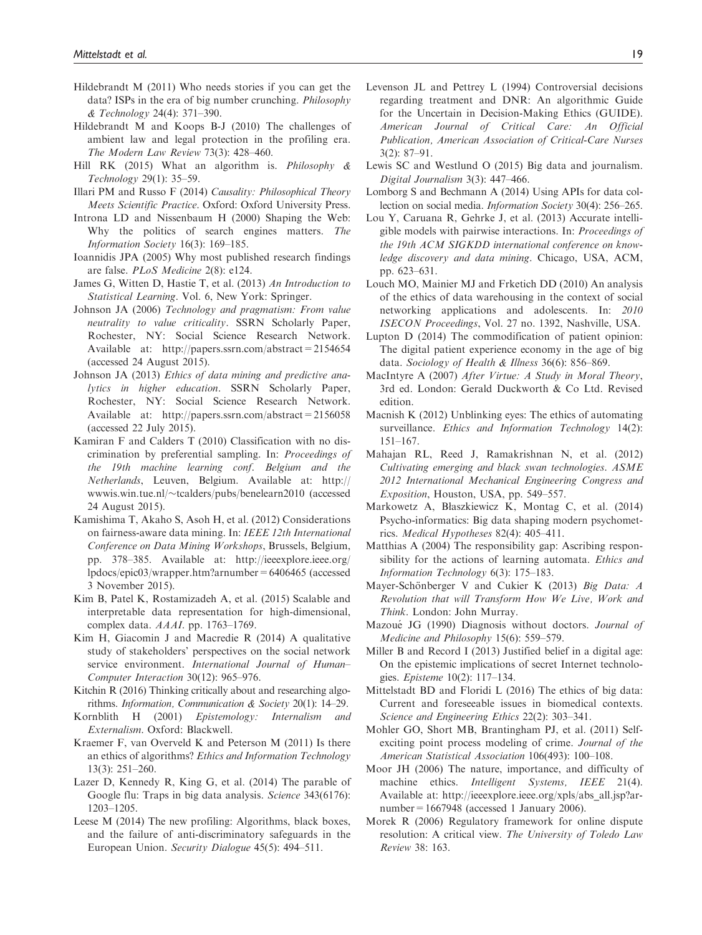- Hildebrandt M (2011) Who needs stories if you can get the data? ISPs in the era of big number crunching. Philosophy & Technology 24(4): 371–390.
- Hildebrandt M and Koops B-J (2010) The challenges of ambient law and legal protection in the profiling era. The Modern Law Review 73(3): 428–460.
- Hill RK (2015) What an algorithm is. Philosophy & Technology 29(1): 35–59.
- Illari PM and Russo F (2014) Causality: Philosophical Theory Meets Scientific Practice. Oxford: Oxford University Press.
- Introna LD and Nissenbaum H (2000) Shaping the Web: Why the politics of search engines matters. The Information Society 16(3): 169–185.
- Ioannidis JPA (2005) Why most published research findings are false. PLoS Medicine 2(8): e124.
- James G, Witten D, Hastie T, et al. (2013) An Introduction to Statistical Learning. Vol. 6, New York: Springer.
- Johnson JA (2006) Technology and pragmatism: From value neutrality to value criticality. SSRN Scholarly Paper, Rochester, NY: Social Science Research Network. Available at:<http://papers.ssrn.com/abstract=2154654> (accessed 24 August 2015).
- Johnson JA (2013) Ethics of data mining and predictive analytics in higher education. SSRN Scholarly Paper, Rochester, NY: Social Science Research Network. Available at:<http://papers.ssrn.com/abstract=2156058> (accessed 22 July 2015).
- Kamiran F and Calders T (2010) Classification with no discrimination by preferential sampling. In: Proceedings of the 19th machine learning conf. Belgium and the Netherlands, Leuven, Belgium. Available at: [http://](http://wwwis.win.tue.nl/~tcalders/pubs/benelearn2010) [wwwis.win.tue.nl/](http://wwwis.win.tue.nl/~tcalders/pubs/benelearn2010)-[tcalders/pubs/benelearn2010](http://wwwis.win.tue.nl/~tcalders/pubs/benelearn2010) (accessed 24 August 2015).
- Kamishima T, Akaho S, Asoh H, et al. (2012) Considerations on fairness-aware data mining. In: IEEE 12th International Conference on Data Mining Workshops, Brussels, Belgium, pp. 378–385. Available at: [http://ieeexplore.ieee.org/](http://ieeexplore.ieee.org/lpdocs/epic03/wrapper.htm?arnumber=6406465) [lpdocs/epic03/wrapper.htm?arnumber=6406465](http://ieeexplore.ieee.org/lpdocs/epic03/wrapper.htm?arnumber=6406465) (accessed 3 November 2015).
- Kim B, Patel K, Rostamizadeh A, et al. (2015) Scalable and interpretable data representation for high-dimensional, complex data. AAAI. pp. 1763–1769.
- Kim H, Giacomin J and Macredie R (2014) A qualitative study of stakeholders' perspectives on the social network service environment. International Journal of Human-Computer Interaction 30(12): 965–976.
- Kitchin R (2016) Thinking critically about and researching algorithms. Information, Communication & Society 20(1): 14–29.
- Kornblith H (2001) Epistemology: Internalism and Externalism. Oxford: Blackwell.
- Kraemer F, van Overveld K and Peterson M (2011) Is there an ethics of algorithms? Ethics and Information Technology 13(3): 251–260.
- Lazer D, Kennedy R, King G, et al. (2014) The parable of Google flu: Traps in big data analysis. Science 343(6176): 1203–1205.
- Leese M (2014) The new profiling: Algorithms, black boxes, and the failure of anti-discriminatory safeguards in the European Union. Security Dialogue 45(5): 494–511.
- Levenson JL and Pettrey L (1994) Controversial decisions regarding treatment and DNR: An algorithmic Guide for the Uncertain in Decision-Making Ethics (GUIDE). American Journal of Critical Care: An Official Publication, American Association of Critical-Care Nurses 3(2): 87–91.
- Lewis SC and Westlund O (2015) Big data and journalism. Digital Journalism 3(3): 447–466.
- Lomborg S and Bechmann A (2014) Using APIs for data collection on social media. Information Society 30(4): 256–265.
- Lou Y, Caruana R, Gehrke J, et al. (2013) Accurate intelligible models with pairwise interactions. In: Proceedings of the 19th ACM SIGKDD international conference on knowledge discovery and data mining. Chicago, USA, ACM, pp. 623–631.
- Louch MO, Mainier MJ and Frketich DD (2010) An analysis of the ethics of data warehousing in the context of social networking applications and adolescents. In: 2010 ISECON Proceedings, Vol. 27 no. 1392, Nashville, USA.
- Lupton D (2014) The commodification of patient opinion: The digital patient experience economy in the age of big data. Sociology of Health & Illness 36(6): 856–869.
- MacIntyre A (2007) After Virtue: A Study in Moral Theory, 3rd ed. London: Gerald Duckworth & Co Ltd. Revised edition.
- Macnish K (2012) Unblinking eyes: The ethics of automating surveillance. Ethics and Information Technology 14(2): 151–167.
- Mahajan RL, Reed J, Ramakrishnan N, et al. (2012) Cultivating emerging and black swan technologies. ASME 2012 International Mechanical Engineering Congress and Exposition, Houston, USA, pp. 549–557.
- Markowetz A, Blaszkiewicz K, Montag C, et al. (2014) Psycho-informatics: Big data shaping modern psychometrics. Medical Hypotheses 82(4): 405–411.
- Matthias A (2004) The responsibility gap: Ascribing responsibility for the actions of learning automata. *Ethics and* Information Technology 6(3): 175–183.
- Mayer-Schönberger V and Cukier K (2013) Big Data: A Revolution that will Transform How We Live, Work and Think. London: John Murray.
- Mazoué JG (1990) Diagnosis without doctors. Journal of Medicine and Philosophy 15(6): 559–579.
- Miller B and Record I (2013) Justified belief in a digital age: On the epistemic implications of secret Internet technologies. Episteme 10(2): 117–134.
- Mittelstadt BD and Floridi L (2016) The ethics of big data: Current and foreseeable issues in biomedical contexts. Science and Engineering Ethics 22(2): 303–341.
- Mohler GO, Short MB, Brantingham PJ, et al. (2011) Selfexciting point process modeling of crime. Journal of the American Statistical Association 106(493): 100–108.
- Moor JH (2006) The nature, importance, and difficulty of machine ethics. *Intelligent* Systems, IEEE 21(4). Available at: [http://ieeexplore.ieee.org/xpls/abs\\_all.jsp?ar](http://ieeexplore.ieee.org/xpls/abs_all.jsp?arnumber=1667948)[number=1667948](http://ieeexplore.ieee.org/xpls/abs_all.jsp?arnumber=1667948) (accessed 1 January 2006).
- Morek R (2006) Regulatory framework for online dispute resolution: A critical view. The University of Toledo Law Review 38: 163.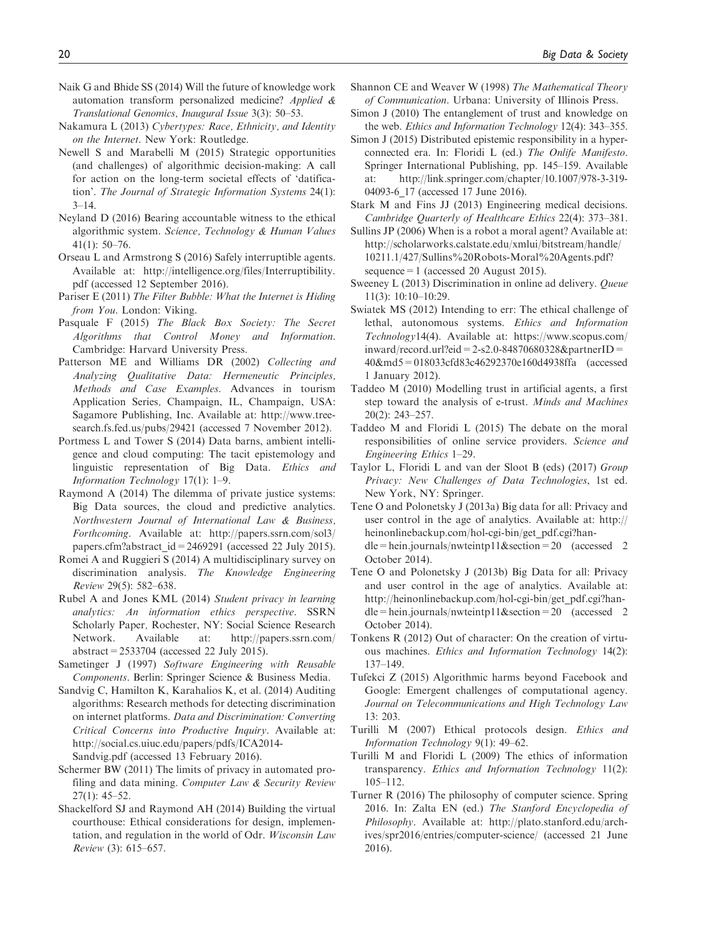- Naik G and Bhide SS (2014) Will the future of knowledge work automation transform personalized medicine? Applied & Translational Genomics, Inaugural Issue 3(3): 50–53.
- Nakamura L (2013) Cybertypes: Race, Ethnicity, and Identity on the Internet. New York: Routledge.
- Newell S and Marabelli M (2015) Strategic opportunities (and challenges) of algorithmic decision-making: A call for action on the long-term societal effects of 'datification'. The Journal of Strategic Information Systems 24(1):  $3 - 14$ .
- Neyland D (2016) Bearing accountable witness to the ethical algorithmic system. Science, Technology & Human Values 41(1): 50–76.
- Orseau L and Armstrong S (2016) Safely interruptible agents. Available at: [http://intelligence.org/files/Interruptibility.](http://intelligence.org/files/Interruptibility.pdf) [pdf](http://intelligence.org/files/Interruptibility.pdf) (accessed 12 September 2016).
- Pariser E (2011) The Filter Bubble: What the Internet is Hiding from You. London: Viking.
- Pasquale F (2015) The Black Box Society: The Secret Algorithms that Control Money and Information. Cambridge: Harvard University Press.
- Patterson ME and Williams DR (2002) Collecting and Analyzing Qualitative Data: Hermeneutic Principles, Methods and Case Examples. Advances in tourism Application Series, Champaign, IL, Champaign, USA: Sagamore Publishing, Inc. Available at: [http://www.tree](http://www.treesearch.fs.fed.us/pubs/29421)[search.fs.fed.us/pubs/29421](http://www.treesearch.fs.fed.us/pubs/29421) (accessed 7 November 2012).
- Portmess L and Tower S (2014) Data barns, ambient intelligence and cloud computing: The tacit epistemology and linguistic representation of Big Data. Ethics and Information Technology 17(1): 1–9.
- Raymond A (2014) The dilemma of private justice systems: Big Data sources, the cloud and predictive analytics. Northwestern Journal of International Law & Business, Forthcoming. Available at: [http://papers.ssrn.com/sol3/](http://papers.ssrn.com/sol3/papers.cfm?abstract_id=2469291) [papers.cfm?abstract\\_id=2469291](http://papers.ssrn.com/sol3/papers.cfm?abstract_id=2469291) (accessed 22 July 2015).
- Romei A and Ruggieri S (2014) A multidisciplinary survey on discrimination analysis. The Knowledge Engineering Review 29(5): 582–638.
- Rubel A and Jones KML (2014) Student privacy in learning analytics: An information ethics perspective. SSRN Scholarly Paper, Rochester, NY: Social Science Research Network. Available at: [http://papers.ssrn.com/](http://papers.ssrn.com/abstract=2533704) [abstract=2533704](http://papers.ssrn.com/abstract=2533704) (accessed 22 July 2015).
- Sametinger J (1997) Software Engineering with Reusable Components. Berlin: Springer Science & Business Media.
- Sandvig C, Hamilton K, Karahalios K, et al. (2014) Auditing algorithms: Research methods for detecting discrimination on internet platforms. Data and Discrimination: Converting Critical Concerns into Productive Inquiry. Available at: [http://social.cs.uiuc.edu/papers/pdfs/ICA2014-](http://social.cs.uiuc.edu/papers/pdfs/ICA2014-Sandvig.pdf) [Sandvig.pdf](http://social.cs.uiuc.edu/papers/pdfs/ICA2014-Sandvig.pdf) (accessed 13 February 2016).
- Schermer BW (2011) The limits of privacy in automated profiling and data mining. Computer Law & Security Review 27(1): 45–52.
- Shackelford SJ and Raymond AH (2014) Building the virtual courthouse: Ethical considerations for design, implementation, and regulation in the world of Odr. Wisconsin Law Review (3): 615–657.
- Shannon CE and Weaver W (1998) The Mathematical Theory of Communication. Urbana: University of Illinois Press.
- Simon J (2010) The entanglement of trust and knowledge on the web. Ethics and Information Technology 12(4): 343–355.
- Simon J (2015) Distributed epistemic responsibility in a hyperconnected era. In: Floridi L (ed.) The Onlife Manifesto. Springer International Publishing, pp. 145–159. Available at: [http://link.springer.com/chapter/10.1007/978-3-319-](http://link.springer.com/chapter/10.1007/978-3-319-04093-6_17) [04093-6\\_17](http://link.springer.com/chapter/10.1007/978-3-319-04093-6_17) (accessed 17 June 2016).
- Stark M and Fins JJ (2013) Engineering medical decisions. Cambridge Quarterly of Healthcare Ethics 22(4): 373–381.
- Sullins JP (2006) When is a robot a moral agent? Available at: [http://scholarworks.calstate.edu/xmlui/bitstream/handle/](http://scholarworks.calstate.edu/xmlui/bitstream/handle/10211.1/427/Sullins%20Robots-Moral%20Agents.pdf?sequence=1) [10211.1/427/Sullins%20Robots-Moral%20Agents.pdf?](http://scholarworks.calstate.edu/xmlui/bitstream/handle/10211.1/427/Sullins%20Robots-Moral%20Agents.pdf?sequence=1) sequence = 1 (accessed 20 August 2015).
- Sweeney L (2013) Discrimination in online ad delivery. Queue 11(3): 10:10–10:29.
- Swiatek MS (2012) Intending to err: The ethical challenge of lethal, autonomous systems. Ethics and Information Technology14(4). Available at: [https://www.scopus.com/](https://www.scopus.com/inward/record.url?eid=2-s2.0-84870680328&partnerID=40&md5=018033cfd83c46292370e160d4938ffa)  $inward/record.$ url?eid=2-s2.0-84870680328&partnerID= [40&md5=018033cfd83c46292370e160d4938ffa](https://www.scopus.com/inward/record.url?eid=2-s2.0-84870680328&partnerID=40&md5=018033cfd83c46292370e160d4938ffa) (accessed 1 January 2012).
- Taddeo M (2010) Modelling trust in artificial agents, a first step toward the analysis of e-trust. Minds and Machines 20(2): 243–257.
- Taddeo M and Floridi L (2015) The debate on the moral responsibilities of online service providers. Science and Engineering Ethics 1–29.
- Taylor L, Floridi L and van der Sloot B (eds) (2017) Group Privacy: New Challenges of Data Technologies, 1st ed. New York, NY: Springer.
- Tene O and Polonetsky J (2013a) Big data for all: Privacy and user control in the age of analytics. Available at: [http://](http://heinonlinebackup.com/hol-cgi-bin/get_pdf.cgi?handle=hein.journals/nwteintp11&section=20) [heinonlinebackup.com/hol-cgi-bin/get\\_pdf.cgi?han](http://heinonlinebackup.com/hol-cgi-bin/get_pdf.cgi?handle=hein.journals/nwteintp11&section=20) $d$ le=hein.journals/nwteintp11&section=20 (accessed 2 October 2014).
- Tene O and Polonetsky J (2013b) Big Data for all: Privacy and user control in the age of analytics. Available at: [http://heinonlinebackup.com/hol-cgi-bin/get\\_pdf.cgi?han](http://heinonlinebackup.com/hol-cgi-bin/get_pdf.cgi?handle=hein.journals/nwteintp11&section=20) $d = h$ hein.journals/nwteintp11&section=20 (accessed 2 October 2014).
- Tonkens R (2012) Out of character: On the creation of virtuous machines. Ethics and Information Technology 14(2): 137–149.
- Tufekci Z (2015) Algorithmic harms beyond Facebook and Google: Emergent challenges of computational agency. Journal on Telecommunications and High Technology Law 13: 203.
- Turilli M (2007) Ethical protocols design. Ethics and Information Technology 9(1): 49–62.
- Turilli M and Floridi L (2009) The ethics of information transparency. Ethics and Information Technology 11(2): 105–112.
- Turner R (2016) The philosophy of computer science. Spring 2016. In: Zalta EN (ed.) The Stanford Encyclopedia of Philosophy. Available at: [http://plato.stanford.edu/arch](http://plato.stanford.edu/archives/spr2016/entries/computer-science/)[ives/spr2016/entries/computer-science/](http://plato.stanford.edu/archives/spr2016/entries/computer-science/) (accessed 21 June 2016).